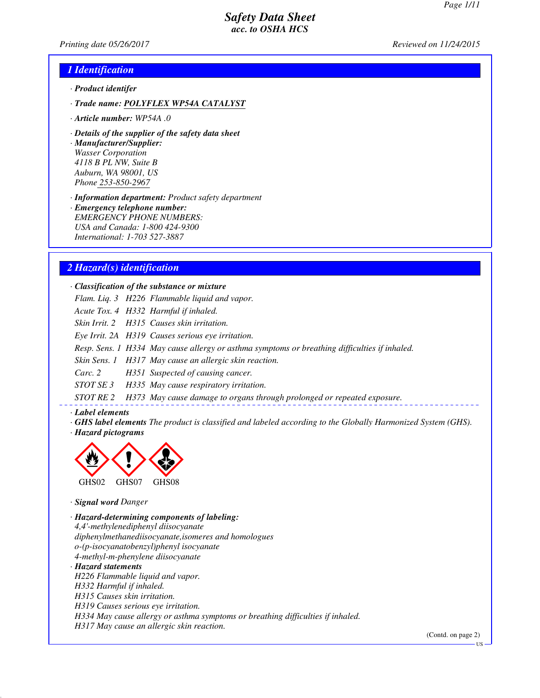*Printing date 05/26/2017 Reviewed on 11/24/2015*

### *1 Identification*

- *· Product identifer*
- *· Trade name: POLYFLEX WP54A CATALYST*
- *· Article number: WP54A .0*
- *· Details of the supplier of the safety data sheet*

*· Manufacturer/Supplier: Wasser Corporation 4118 B PL NW, Suite B Auburn, WA 98001, US Phone 253-850-2967*

*· Information department: Product safety department*

*· Emergency telephone number: EMERGENCY PHONE NUMBERS: USA and Canada: 1-800 424-9300 International: 1-703 527-3887*

### *2 Hazard(s) identification*

*· Classification of the substance or mixture*

- *Flam. Liq. 3 H226 Flammable liquid and vapor.*
- *Acute Tox. 4 H332 Harmful if inhaled.*

*Skin Irrit. 2 H315 Causes skin irritation.*

*Eye Irrit. 2A H319 Causes serious eye irritation.*

*Resp. Sens. 1 H334 May cause allergy or asthma symptoms or breathing difficulties if inhaled.*

*Skin Sens. 1 H317 May cause an allergic skin reaction.*

*Carc. 2 H351 Suspected of causing cancer.*

*STOT SE 3 H335 May cause respiratory irritation.*

*STOT RE 2 H373 May cause damage to organs through prolonged or repeated exposure.*

#### *· Label elements*

*· GHS label elements The product is classified and labeled according to the Globally Harmonized System (GHS). · Hazard pictograms*



*· Signal word Danger*

*· Hazard-determining components of labeling: 4,4'-methylenediphenyl diisocyanate diphenylmethanediisocyanate,isomeres and homologues o-(p-isocyanatobenzyl)phenyl isocyanate 4-methyl-m-phenylene diisocyanate · Hazard statements H226 Flammable liquid and vapor. H332 Harmful if inhaled. H315 Causes skin irritation. H319 Causes serious eye irritation. H334 May cause allergy or asthma symptoms or breathing difficulties if inhaled. H317 May cause an allergic skin reaction.*

(Contd. on page 2)

**US**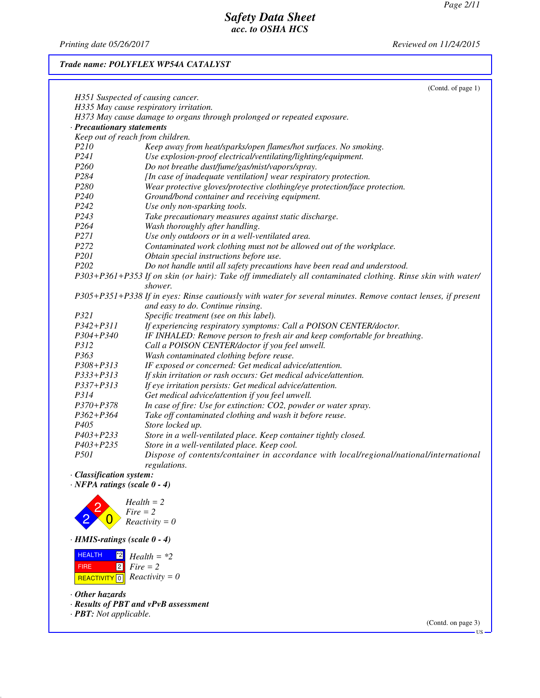*Printing date 05/26/2017 Reviewed on 11/24/2015*

### *Trade name: POLYFLEX WP54A CATALYST*

|                                   | (Contd. of page 1)                                                                                            |
|-----------------------------------|---------------------------------------------------------------------------------------------------------------|
| H351 Suspected of causing cancer. |                                                                                                               |
|                                   | H335 May cause respiratory irritation.                                                                        |
|                                   | H373 May cause damage to organs through prolonged or repeated exposure.                                       |
| Precautionary statements          |                                                                                                               |
| Keep out of reach from children.  |                                                                                                               |
| P210                              | Keep away from heat/sparks/open flames/hot surfaces. No smoking.                                              |
| P241                              | Use explosion-proof electrical/ventilating/lighting/equipment.                                                |
| P <sub>260</sub>                  | Do not breathe dust/fume/gas/mist/vapors/spray.                                                               |
| P284                              | [In case of inadequate ventilation] wear respiratory protection.                                              |
| P280                              | Wear protective gloves/protective clothing/eye protection/face protection.                                    |
| P <sub>240</sub>                  | Ground/bond container and receiving equipment.                                                                |
| P <sub>242</sub>                  | Use only non-sparking tools.                                                                                  |
| P243                              | Take precautionary measures against static discharge.                                                         |
| P264                              | Wash thoroughly after handling.                                                                               |
| P271                              | Use only outdoors or in a well-ventilated area.                                                               |
| P272                              | Contaminated work clothing must not be allowed out of the workplace.                                          |
| P <sub>201</sub>                  | Obtain special instructions before use.                                                                       |
| P <sub>202</sub>                  | Do not handle until all safety precautions have been read and understood.                                     |
|                                   | P303+P361+P353 If on skin (or hair): Take off immediately all contaminated clothing. Rinse skin with water/   |
|                                   | shower.                                                                                                       |
|                                   | P305+P351+P338 If in eyes: Rinse cautiously with water for several minutes. Remove contact lenses, if present |
|                                   | and easy to do. Continue rinsing.                                                                             |
| P321                              | Specific treatment (see on this label).                                                                       |
| $P342 + P311$                     | If experiencing respiratory symptoms: Call a POISON CENTER/doctor.                                            |
| $P304 + P340$                     | IF INHALED: Remove person to fresh air and keep comfortable for breathing.                                    |
| P312                              | Call a POISON CENTER/doctor if you feel unwell.                                                               |
| P363                              | Wash contaminated clothing before reuse.                                                                      |
| $P308 + P313$                     | IF exposed or concerned: Get medical advice/attention.                                                        |
| P333+P313                         | If skin irritation or rash occurs: Get medical advice/attention.                                              |
| P337+P313                         | If eye irritation persists: Get medical advice/attention.                                                     |
| P314                              | Get medical advice/attention if you feel unwell.                                                              |
| P370+P378                         | In case of fire: Use for extinction: CO2, powder or water spray.                                              |
| P362+P364                         | Take off contaminated clothing and wash it before reuse.                                                      |
| P <sub>405</sub>                  | Store locked up.                                                                                              |
| P403+P233                         | Store in a well-ventilated place. Keep container tightly closed.                                              |
| $P403 + P235$                     | Store in a well-ventilated place. Keep cool.                                                                  |
| P501                              | Dispose of contents/container in accordance with local/regional/national/international                        |
|                                   | regulations.                                                                                                  |

*· Classification system:*

*· NFPA ratings (scale 0 - 4)*



*· HMIS-ratings (scale 0 - 4)*



*· Other hazards*

- *· Results of PBT and vPvB assessment*
- *· PBT: Not applicable.*

(Contd. on page 3)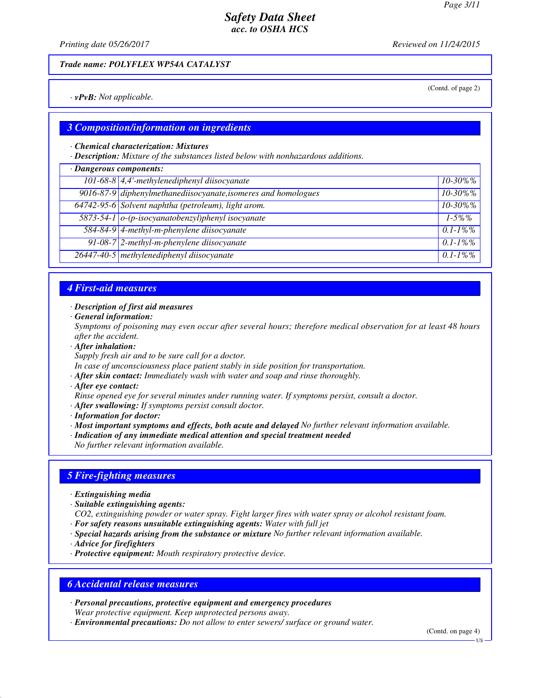(Contd. of page 2)

## *Safety Data Sheet acc. to OSHA HCS*

*Printing date 05/26/2017 Reviewed on 11/24/2015*

*Trade name: POLYFLEX WP54A CATALYST*

*· vPvB: Not applicable.*

### *3 Composition/information on ingredients*

#### *· Chemical characterization: Mixtures*

*· Description: Mixture of the substances listed below with nonhazardous additions.*

#### *· Dangerous components:*

| Dungerous components.                                          |               |
|----------------------------------------------------------------|---------------|
| 101-68-8 4,4'-methylenediphenyl diisocyanate                   | $10 - 30\%$ % |
| 9016-87-9 diphenylmethanediisocyanate, isomeres and homologues | $10 - 30\%$ % |
| 64742-95-6 Solvent naphtha (petroleum), light arom.            | $10 - 30\%$ % |
| 5873-54-1 o-(p-isocyanatobenzyl)phenyl isocyanate              | $1-5\%$ %     |
| 584-84-9 4-methyl-m-phenylene diisocyanate                     | $0.1 - 1\%$ % |
| 91-08-7 2-methyl-m-phenylene diisocyanate                      | $0.1 - 1\%$ % |
| 26447-40-5 methylenediphenyl diisocyanate                      | $0.1 - 1\%$ % |

### *4 First-aid measures*

#### *· Description of first aid measures*

*· General information:*

*Symptoms of poisoning may even occur after several hours; therefore medical observation for at least 48 hours after the accident.*

### *· After inhalation:*

*Supply fresh air and to be sure call for a doctor.*

*In case of unconsciousness place patient stably in side position for transportation.*

*· After skin contact: Immediately wash with water and soap and rinse thoroughly.*

*· After eye contact:*

*Rinse opened eye for several minutes under running water. If symptoms persist, consult a doctor.*

*· After swallowing: If symptoms persist consult doctor.*

*· Information for doctor:*

*· Most important symptoms and effects, both acute and delayed No further relevant information available.*

*· Indication of any immediate medical attention and special treatment needed No further relevant information available.*

### *5 Fire-fighting measures*

- *· Extinguishing media*
- *· Suitable extinguishing agents:*
- *CO2, extinguishing powder or water spray. Fight larger fires with water spray or alcohol resistant foam.*
- *· For safety reasons unsuitable extinguishing agents: Water with full jet*
- *· Special hazards arising from the substance or mixture No further relevant information available.*
- *· Advice for firefighters*
- *· Protective equipment: Mouth respiratory protective device.*

### *6 Accidental release measures*

*· Personal precautions, protective equipment and emergency procedures Wear protective equipment. Keep unprotected persons away.*

*· Environmental precautions: Do not allow to enter sewers/ surface or ground water.*

(Contd. on page 4)

US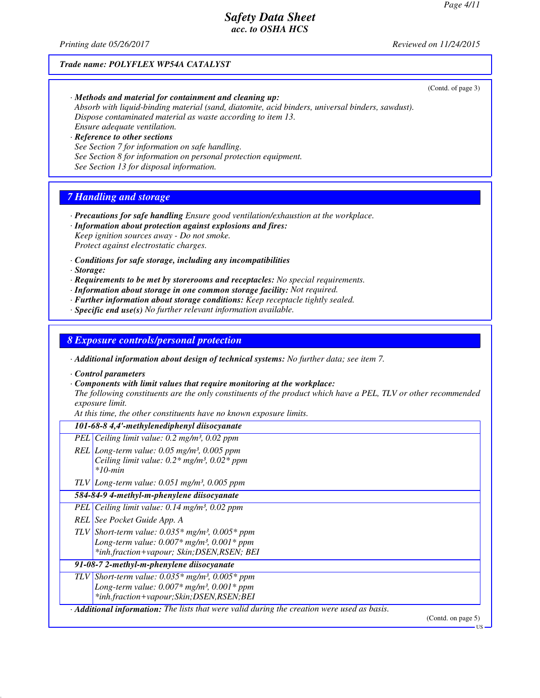(Contd. of page 3)

## *Safety Data Sheet acc. to OSHA HCS*

*Printing date 05/26/2017 Reviewed on 11/24/2015*

### *Trade name: POLYFLEX WP54A CATALYST*

*· Methods and material for containment and cleaning up: Absorb with liquid-binding material (sand, diatomite, acid binders, universal binders, sawdust). Dispose contaminated material as waste according to item 13. Ensure adequate ventilation.*

*· Reference to other sections See Section 7 for information on safe handling. See Section 8 for information on personal protection equipment. See Section 13 for disposal information.*

## *7 Handling and storage*

- *· Precautions for safe handling Ensure good ventilation/exhaustion at the workplace. · Information about protection against explosions and fires:*
- *Keep ignition sources away Do not smoke. Protect against electrostatic charges.*
- *· Conditions for safe storage, including any incompatibilities*
- *· Storage:*
- *· Requirements to be met by storerooms and receptacles: No special requirements.*
- *· Information about storage in one common storage facility: Not required.*
- *· Further information about storage conditions: Keep receptacle tightly sealed.*
- *· Specific end use(s) No further relevant information available.*

### *8 Exposure controls/personal protection*

*· Additional information about design of technical systems: No further data; see item 7.*

- *· Control parameters*
- *· Components with limit values that require monitoring at the workplace:*

*The following constituents are the only constituents of the product which have a PEL, TLV or other recommended exposure limit.*

*At this time, the other constituents have no known exposure limits.*

| 101-68-8 4,4'-methylenediphenyl diisocyanate                                                                                                                                 |                       |
|------------------------------------------------------------------------------------------------------------------------------------------------------------------------------|-----------------------|
| PEL Ceiling limit value: $0.2 \text{ mg/m}^3$ , $0.02 \text{ ppm}$                                                                                                           |                       |
| REL Long-term value: $0.05$ mg/m <sup>3</sup> , $0.005$ ppm<br>Ceiling limit value: $0.2*$ mg/m <sup>3</sup> , $0.02*$ ppm<br>$*10$ -min                                     |                       |
| $TLV$ Long-term value: 0.051 mg/m <sup>3</sup> , 0.005 ppm                                                                                                                   |                       |
| 584-84-9 4-methyl-m-phenylene diisocyanate                                                                                                                                   |                       |
| PEL Ceiling limit value: $0.14$ mg/m <sup>3</sup> , $0.02$ ppm                                                                                                               |                       |
| REL See Pocket Guide App. A                                                                                                                                                  |                       |
| TLV Short-term value: $0.035*$ mg/m <sup>3</sup> , $0.005*$ ppm<br>Long-term value: $0.007*$ mg/m <sup>3</sup> , $0.001*$ ppm<br>*inh.fraction+vapour; Skin; DSEN, RSEN; BEI |                       |
| 91-08-7 2-methyl-m-phenylene diisocyanate                                                                                                                                    |                       |
| TLV Short-term value: $0.035*$ mg/m <sup>3</sup> , $0.005*$ ppm<br>Long-term value: $0.007*$ mg/m <sup>3</sup> , $0.001*$ ppm<br>*inh.fraction+vapour;Skin;DSEN,RSEN;BEI     |                       |
| $\cdot$ <b>Additional information:</b> The lists that were valid during the creation were used as basis.                                                                     | (Contd. on page $5$ ) |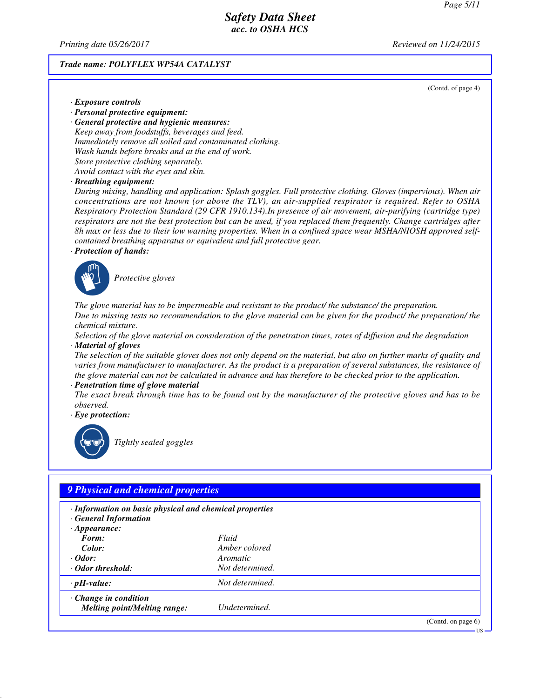*Printing date 05/26/2017 Reviewed on 11/24/2015*

#### *Trade name: POLYFLEX WP54A CATALYST*

(Contd. of page 4)

- *· Exposure controls*
- *· Personal protective equipment:*

*· General protective and hygienic measures: Keep away from foodstuffs, beverages and feed. Immediately remove all soiled and contaminated clothing. Wash hands before breaks and at the end of work. Store protective clothing separately. Avoid contact with the eyes and skin.*

*· Breathing equipment:*

*During mixing, handling and application: Splash goggles. Full protective clothing. Gloves (impervious). When air concentrations are not known (or above the TLV), an air-supplied respirator is required. Refer to OSHA Respiratory Protection Standard (29 CFR 1910.134).In presence of air movement, air-purifying (cartridge type) respirators are not the best protection but can be used, if you replaced them frequently. Change cartridges after 8h max or less due to their low warning properties. When in a confined space wear MSHA/NIOSH approved selfcontained breathing apparatus or equivalent and full protective gear.*

*· Protection of hands:*



\_S*Protective gloves*

*The glove material has to be impermeable and resistant to the product/ the substance/ the preparation. Due to missing tests no recommendation to the glove material can be given for the product/ the preparation/ the chemical mixture.*

*Selection of the glove material on consideration of the penetration times, rates of diffusion and the degradation · Material of gloves*

*The selection of the suitable gloves does not only depend on the material, but also on further marks of quality and varies from manufacturer to manufacturer. As the product is a preparation of several substances, the resistance of the glove material can not be calculated in advance and has therefore to be checked prior to the application.*

*· Penetration time of glove material*

*The exact break through time has to be found out by the manufacturer of the protective gloves and has to be observed.*

*· Eye protection:*



\_R*Tightly sealed goggles*

| · Information on basic physical and chemical properties<br><b>General Information</b> |                 |  |
|---------------------------------------------------------------------------------------|-----------------|--|
| $\cdot$ Appearance:                                                                   |                 |  |
| Form:                                                                                 | Fluid           |  |
| Color:                                                                                | Amber colored   |  |
| $\cdot$ Odor:                                                                         | Aromatic        |  |
| ⋅ Odor threshold:                                                                     | Not determined. |  |
| $\cdot$ pH-value:                                                                     | Not determined. |  |
| $\cdot$ Change in condition                                                           |                 |  |
| <b>Melting point/Melting range:</b>                                                   | Undetermined.   |  |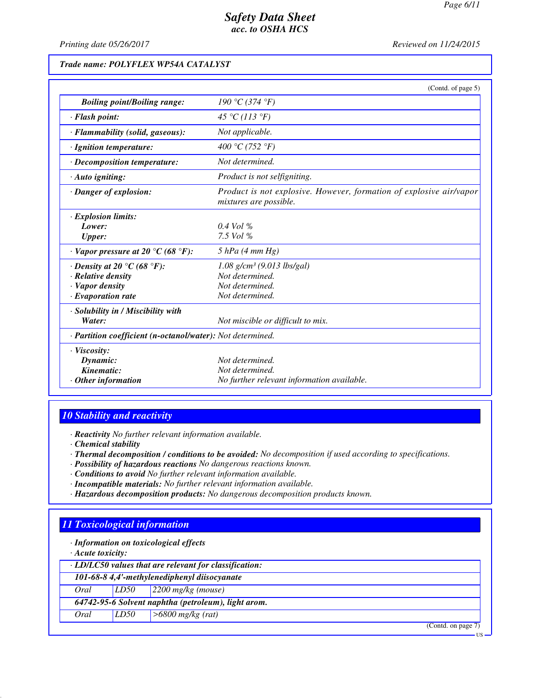*Printing date 05/26/2017 Reviewed on 11/24/2015*

## *Trade name: POLYFLEX WP54A CATALYST*

| <i>Reviewed on 11/24/2015</i> |  |
|-------------------------------|--|
|-------------------------------|--|

|                                                                                                              | (Contd. of page 5)                                                                                |
|--------------------------------------------------------------------------------------------------------------|---------------------------------------------------------------------------------------------------|
| <b>Boiling point/Boiling range:</b>                                                                          | 190 °C (374 °F)                                                                                   |
| · Flash point:                                                                                               | 45 °C (113 °F)                                                                                    |
| $\cdot$ Flammability (solid, gaseous):                                                                       | Not applicable.                                                                                   |
| · Ignition temperature:                                                                                      | 400 °C (752 °F)                                                                                   |
| $\cdot$ Decomposition temperature:                                                                           | Not determined.                                                                                   |
| $\cdot$ Auto igniting:                                                                                       | Product is not selfigniting.                                                                      |
| $\cdot$ Danger of explosion:                                                                                 | Product is not explosive. However, formation of explosive air/vapor<br>mixtures are possible.     |
| $\cdot$ Explosion limits:<br>Lower:<br><b>Upper:</b>                                                         | $0.4$ Vol %<br>7.5 Vol $%$                                                                        |
| $\cdot$ Vapor pressure at 20 °C (68 °F):                                                                     | $5$ hPa (4 mm Hg)                                                                                 |
| $\cdot$ Density at 20 °C (68 °F):<br>· Relative density<br>$\cdot$ Vapor density<br>$\cdot$ Evaporation rate | $1.08$ g/cm <sup>3</sup> (9.013 lbs/gal)<br>Not determined.<br>Not determined.<br>Not determined. |
| · Solubility in / Miscibility with<br>Water:                                                                 | Not miscible or difficult to mix.                                                                 |
| · Partition coefficient (n-octanol/water): Not determined.                                                   |                                                                                                   |
| $\cdot$ Viscosity:<br>Dynamic:<br>Kinematic:<br>$\cdot$ Other information                                    | Not determined.<br>Not determined.<br>No further relevant information available.                  |

### *10 Stability and reactivity*

*· Reactivity No further relevant information available.*

- *· Chemical stability*
- *· Thermal decomposition / conditions to be avoided: No decomposition if used according to specifications.*
- *· Possibility of hazardous reactions No dangerous reactions known.*
- *· Conditions to avoid No further relevant information available.*
- *· Incompatible materials: No further relevant information available.*
- *· Hazardous decomposition products: No dangerous decomposition products known.*

## *11 Toxicological information*

*· Information on toxicological effects*

*· Acute toxicity:*

| · LD/LC50 values that are relevant for classification: |  |  |  |
|--------------------------------------------------------|--|--|--|
|                                                        |  |  |  |

*101-68-8 4,4'-methylenediphenyl diisocyanate*

*Oral LD50 2200 mg/kg (mouse)*

*64742-95-6 Solvent naphtha (petroleum), light arom.*

*Oral LD50 >6800 mg/kg (rat)*

(Contd. on page 7)

US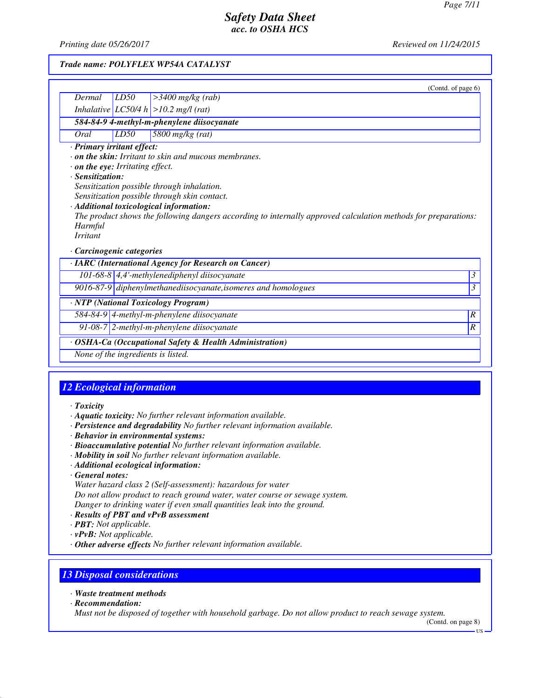*Printing date 05/26/2017 Reviewed on 11/24/2015*

### *Trade name: POLYFLEX WP54A CATALYST*

|                                                                                                                  |      | (Contd. of page 6)                                                                                                                                                                                                                                                                                                     |                          |
|------------------------------------------------------------------------------------------------------------------|------|------------------------------------------------------------------------------------------------------------------------------------------------------------------------------------------------------------------------------------------------------------------------------------------------------------------------|--------------------------|
| Dermal                                                                                                           | LD50 | $>3400$ mg/kg (rab)                                                                                                                                                                                                                                                                                                    |                          |
|                                                                                                                  |      | Inhalative $ LC50/4 h  > 10.2$ mg/l (rat)                                                                                                                                                                                                                                                                              |                          |
|                                                                                                                  |      | 584-84-9 4-methyl-m-phenylene diisocyanate                                                                                                                                                                                                                                                                             |                          |
| Oral                                                                                                             | LD50 | 5800 mg/kg (rat)                                                                                                                                                                                                                                                                                                       |                          |
| · Primary irritant effect:<br>. on the eye: Irritating effect.<br>· Sensitization:<br>Harmful<br><i>Irritant</i> |      | $\cdot$ on the skin: Irritant to skin and mucous membranes.<br>Sensitization possible through inhalation.<br>Sensitization possible through skin contact.<br>· Additional toxicological information:<br>The product shows the following dangers according to internally approved calculation methods for preparations: |                          |
| $\cdot$ Carcinogenic categories                                                                                  |      |                                                                                                                                                                                                                                                                                                                        |                          |
|                                                                                                                  |      | · IARC (International Agency for Research on Cancer)                                                                                                                                                                                                                                                                   |                          |
|                                                                                                                  |      | 101-68-8 $\vert$ 4,4'-methylenediphenyl diisocyanate                                                                                                                                                                                                                                                                   | $\overline{\mathcal{E}}$ |
|                                                                                                                  |      | $9016-87-9$ diphenylmethanediisocyanate, isomeres and homologues                                                                                                                                                                                                                                                       | 3                        |
|                                                                                                                  |      | · NTP (National Toxicology Program)                                                                                                                                                                                                                                                                                    |                          |
|                                                                                                                  |      | 584-84-9 4-methyl-m-phenylene diisocyanate                                                                                                                                                                                                                                                                             | $\boldsymbol{R}$         |
|                                                                                                                  |      | 91-08-7 $2$ -methyl-m-phenylene diisocyanate                                                                                                                                                                                                                                                                           | $\boldsymbol{R}$         |
|                                                                                                                  |      | OSHA-Ca (Occupational Safety & Health Administration)                                                                                                                                                                                                                                                                  |                          |
|                                                                                                                  |      | None of the ingredients is listed.                                                                                                                                                                                                                                                                                     |                          |

## *12 Ecological information*

- *· Toxicity*
- *· Aquatic toxicity: No further relevant information available.*
- *· Persistence and degradability No further relevant information available.*
- *· Behavior in environmental systems:*
- *· Bioaccumulative potential No further relevant information available.*
- *· Mobility in soil No further relevant information available.*
- *· Additional ecological information:*
- *· General notes:*

*Water hazard class 2 (Self-assessment): hazardous for water Do not allow product to reach ground water, water course or sewage system. Danger to drinking water if even small quantities leak into the ground.*

- *· Results of PBT and vPvB assessment*
- *· PBT: Not applicable.*
- *· vPvB: Not applicable.*
- *· Other adverse effects No further relevant information available.*

## *13 Disposal considerations*

- *· Waste treatment methods*
- *· Recommendation:*

*Must not be disposed of together with household garbage. Do not allow product to reach sewage system.*

(Contd. on page 8)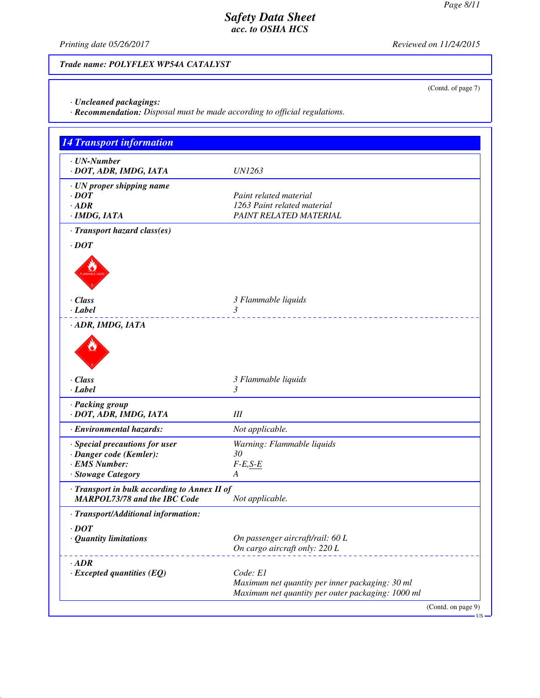(Contd. of page 7)

## *Safety Data Sheet acc. to OSHA HCS*

*Printing date 05/26/2017 Reviewed on 11/24/2015*

## *Trade name: POLYFLEX WP54A CATALYST*

*· Uncleaned packagings:*

*· Recommendation: Disposal must be made according to official regulations.*

| 14 Transport information                                                                         |                                                                                                                  |
|--------------------------------------------------------------------------------------------------|------------------------------------------------------------------------------------------------------------------|
| $\cdot$ UN-Number<br>· DOT, ADR, IMDG, IATA                                                      | <b>UN1263</b>                                                                                                    |
| · UN proper shipping name<br>$\cdot$ DOT<br>$\cdot$ ADR<br>· IMDG, IATA                          | Paint related material<br>1263 Paint related material<br>PAINT RELATED MATERIAL                                  |
| · Transport hazard class(es)<br>$\cdot$ DOT                                                      |                                                                                                                  |
| $\cdot$ Class<br>· Label                                                                         | 3 Flammable liquids<br>3                                                                                         |
| · ADR, IMDG, IATA<br>$\cdot$ Class<br>· Label                                                    | 3 Flammable liquids<br>$\mathfrak{Z}$                                                                            |
| · Packing group<br>· DOT, ADR, IMDG, IATA                                                        | III                                                                                                              |
| · Environmental hazards:                                                                         | Not applicable.                                                                                                  |
| · Special precautions for user<br>· Danger code (Kemler):<br>· EMS Number:<br>· Stowage Category | Warning: Flammable liquids<br>30<br>$F-E,S-E$<br>A                                                               |
| · Transport in bulk according to Annex II of<br><b>MARPOL73/78 and the IBC Code</b>              | Not applicable.                                                                                                  |
| · Transport/Additional information:                                                              |                                                                                                                  |
| $\cdot$ DOT<br>· Quantity limitations                                                            | On passenger aircraft/rail: 60 L<br>On cargo aircraft only: 220 L                                                |
| $\cdot$ ADR<br>$\cdot$ Excepted quantities (EQ)                                                  | Code: E1<br>Maximum net quantity per inner packaging: 30 ml<br>Maximum net quantity per outer packaging: 1000 ml |

US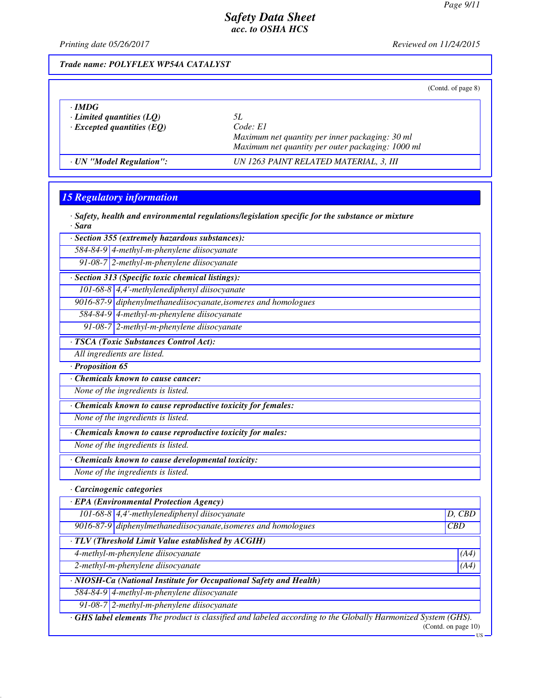*Printing date 05/26/2017 Reviewed on 11/24/2015*

### *Trade name: POLYFLEX WP54A CATALYST*

(Contd. of page 8)

| $\cdot$ IMDG<br>$\cdot$ Limited quantities (LQ)<br>$\cdot$ Excepted quantities (EQ) | 51.<br>Code: E1<br>Maximum net quantity per inner packaging: 30 ml<br>Maximum net quantity per outer packaging: 1000 ml |  |
|-------------------------------------------------------------------------------------|-------------------------------------------------------------------------------------------------------------------------|--|
| · UN "Model Regulation":                                                            | UN 1263 PAINT RELATED MATERIAL, 3, III                                                                                  |  |

### *15 Regulatory information*

|        | $\cdot$ Safety, health and environmental regulations/legislation specific for the substance or mixture |  |  |  |
|--------|--------------------------------------------------------------------------------------------------------|--|--|--|
| · Sara |                                                                                                        |  |  |  |

*· Section 355 (extremely hazardous substances):*

*584-84-9 4-methyl-m-phenylene diisocyanate*

*91-08-7 2-methyl-m-phenylene diisocyanate*

*· Section 313 (Specific toxic chemical listings):*

*101-68-8 4,4'-methylenediphenyl diisocyanate*

*9016-87-9 diphenylmethanediisocyanate,isomeres and homologues*

*584-84-9 4-methyl-m-phenylene diisocyanate*

*91-08-7 2-methyl-m-phenylene diisocyanate*

*· TSCA (Toxic Substances Control Act):*

*All ingredients are listed.*

*· Proposition 65*

*· Chemicals known to cause cancer:*

*None of the ingredients is listed.*

*· Chemicals known to cause reproductive toxicity for females:*

*None of the ingredients is listed.*

*· Chemicals known to cause reproductive toxicity for males:*

*None of the ingredients is listed.*

*· Chemicals known to cause developmental toxicity:*

*None of the ingredients is listed.*

*· Carcinogenic categories*

| <b>EPA</b> (Environmental Protection Agency)                     |             |  |  |  |
|------------------------------------------------------------------|-------------|--|--|--|
| 101-68-8 $\vert$ 4,4'-methylenediphenyl diisocyanate             | $D$ , $CBD$ |  |  |  |
| $9016-87-9$ diphenylmethanediisocyanate, isomeres and homologues | CBD         |  |  |  |
|                                                                  |             |  |  |  |
| <b>THE R.T. / FEEL</b><br>$1 1111 \cdot 1111 1 1111 1 111111$    |             |  |  |  |

*· TLV (Threshold Limit Value established by ACGIH)*

*4-methyl-m-phenylene diisocyanate (A4)*

*2-methyl-m-phenylene diisocyanate (A4)*

*· NIOSH-Ca (National Institute for Occupational Safety and Health)*

*584-84-9 4-methyl-m-phenylene diisocyanate*

*91-08-7 2-methyl-m-phenylene diisocyanate*

*· GHS label elements The product is classified and labeled according to the Globally Harmonized System (GHS).* (Contd. on page 10)

US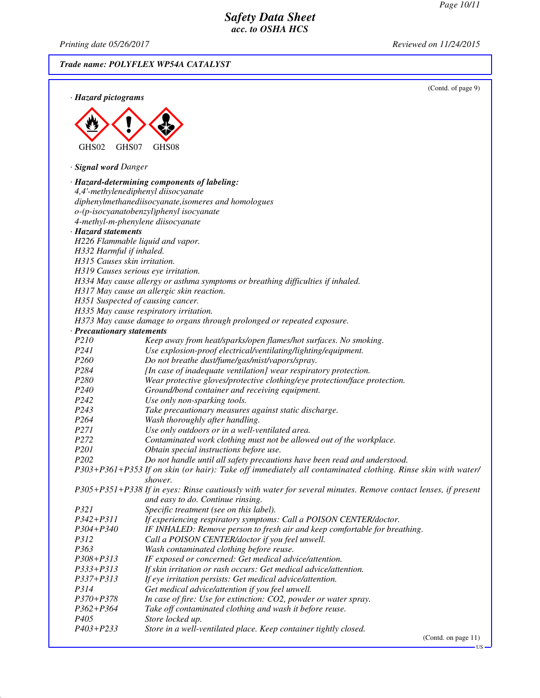*Printing date 05/26/2017 Reviewed on 11/24/2015*

*Trade name: POLYFLEX WP54A CATALYST*

|                              | (Contd. of page 9)                                                                                                                                 |
|------------------------------|----------------------------------------------------------------------------------------------------------------------------------------------------|
| · Hazard pictograms          |                                                                                                                                                    |
|                              |                                                                                                                                                    |
|                              |                                                                                                                                                    |
|                              |                                                                                                                                                    |
|                              |                                                                                                                                                    |
| GHS02<br>GHS07               | GHS08                                                                                                                                              |
|                              |                                                                                                                                                    |
| · Signal word Danger         |                                                                                                                                                    |
|                              | · Hazard-determining components of labeling:                                                                                                       |
|                              | 4,4'-methylenediphenyl diisocyanate                                                                                                                |
|                              | diphenylmethanediisocyanate, isomeres and homologues                                                                                               |
|                              | o-(p-isocyanatobenzyl)phenyl isocyanate                                                                                                            |
|                              | 4-methyl-m-phenylene diisocyanate                                                                                                                  |
| · Hazard statements          |                                                                                                                                                    |
|                              | H226 Flammable liquid and vapor.                                                                                                                   |
| H332 Harmful if inhaled.     |                                                                                                                                                    |
| H315 Causes skin irritation. |                                                                                                                                                    |
|                              | H319 Causes serious eye irritation.                                                                                                                |
|                              | H334 May cause allergy or asthma symptoms or breathing difficulties if inhaled.                                                                    |
|                              | H317 May cause an allergic skin reaction.                                                                                                          |
|                              | H351 Suspected of causing cancer.                                                                                                                  |
|                              | H335 May cause respiratory irritation.                                                                                                             |
|                              | H373 May cause damage to organs through prolonged or repeated exposure.                                                                            |
| · Precautionary statements   |                                                                                                                                                    |
| P210                         | Keep away from heat/sparks/open flames/hot surfaces. No smoking.                                                                                   |
| P241                         | Use explosion-proof electrical/ventilating/lighting/equipment.                                                                                     |
| P260                         | Do not breathe dust/fume/gas/mist/vapors/spray.                                                                                                    |
| P284                         | [In case of inadequate ventilation] wear respiratory protection.                                                                                   |
| P280                         | Wear protective gloves/protective clothing/eye protection/face protection.                                                                         |
| P240                         | Ground/bond container and receiving equipment.                                                                                                     |
| P242                         | Use only non-sparking tools.                                                                                                                       |
| P <sub>243</sub>             | Take precautionary measures against static discharge.                                                                                              |
| P264                         | Wash thoroughly after handling.                                                                                                                    |
| P271                         | Use only outdoors or in a well-ventilated area.                                                                                                    |
| P <sub>272</sub>             | Contaminated work clothing must not be allowed out of the workplace.                                                                               |
| P <sub>201</sub>             | Obtain special instructions before use.                                                                                                            |
| P202                         | Do not handle until all safety precautions have been read and understood.                                                                          |
|                              | P303+P361+P353 If on skin (or hair): Take off immediately all contaminated clothing. Rinse skin with water/                                        |
|                              | shower.                                                                                                                                            |
|                              | P305+P351+P338 If in eyes: Rinse cautiously with water for several minutes. Remove contact lenses, if present<br>and easy to do. Continue rinsing. |
| P321                         |                                                                                                                                                    |
| $P342 + P311$                | Specific treatment (see on this label).                                                                                                            |
| P304+P340                    | If experiencing respiratory symptoms: Call a POISON CENTER/doctor.<br>IF INHALED: Remove person to fresh air and keep comfortable for breathing.   |
| <i>P312</i>                  | Call a POISON CENTER/doctor if you feel unwell.                                                                                                    |
| P363                         | Wash contaminated clothing before reuse.                                                                                                           |
| P308+P313                    | IF exposed or concerned: Get medical advice/attention.                                                                                             |
| P333+P313                    | If skin irritation or rash occurs: Get medical advice/attention.                                                                                   |
| P337+P313                    | If eye irritation persists: Get medical advice/attention.                                                                                          |
| P314                         | Get medical advice/attention if you feel unwell.                                                                                                   |
| P370+P378                    | In case of fire: Use for extinction: CO2, powder or water spray.                                                                                   |
| P362+P364                    | Take off contaminated clothing and wash it before reuse.                                                                                           |
| P405                         | Store locked up.                                                                                                                                   |
| P403+P233                    | Store in a well-ventilated place. Keep container tightly closed.                                                                                   |

(Contd. on page 11)

US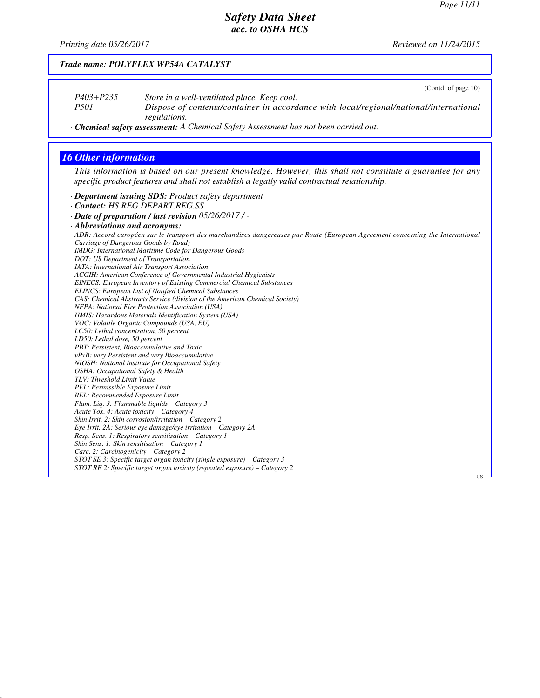## *Safety Data Sheet acc. to OSHA HCS*

*Printing date 05/26/2017 Reviewed on 11/24/2015*

| $P403 + P235$<br>P501                        | (Contd. of page 10)<br>Store in a well-ventilated place. Keep cool.<br>Dispose of contents/container in accordance with local/regional/national/international                                             |
|----------------------------------------------|-----------------------------------------------------------------------------------------------------------------------------------------------------------------------------------------------------------|
|                                              | regulations.                                                                                                                                                                                              |
|                                              | · Chemical safety assessment: A Chemical Safety Assessment has not been carried out.                                                                                                                      |
| <b>16 Other information</b>                  |                                                                                                                                                                                                           |
|                                              |                                                                                                                                                                                                           |
|                                              | This information is based on our present knowledge. However, this shall not constitute a guarantee for any<br>specific product features and shall not establish a legally valid contractual relationship. |
|                                              | · Department issuing SDS: Product safety department                                                                                                                                                       |
|                                              | · Contact: HS REG.DEPART.REG.SS                                                                                                                                                                           |
|                                              | - Date of preparation / last revision 05/26/2017/-                                                                                                                                                        |
| · Abbreviations and acronyms:                |                                                                                                                                                                                                           |
|                                              | ADR: Accord européen sur le transport des marchandises dangereuses par Route (European Agreement concerning the International                                                                             |
|                                              | Carriage of Dangerous Goods by Road)                                                                                                                                                                      |
|                                              | <b>IMDG</b> : International Maritime Code for Dangerous Goods                                                                                                                                             |
|                                              | DOT: US Department of Transportation                                                                                                                                                                      |
|                                              | IATA: International Air Transport Association                                                                                                                                                             |
|                                              | ACGIH: American Conference of Governmental Industrial Hygienists<br><b>EINECS: European Inventory of Existing Commercial Chemical Substances</b>                                                          |
|                                              | <b>ELINCS: European List of Notified Chemical Substances</b>                                                                                                                                              |
|                                              | CAS: Chemical Abstracts Service (division of the American Chemical Society)                                                                                                                               |
|                                              | NFPA: National Fire Protection Association (USA)                                                                                                                                                          |
|                                              | HMIS: Hazardous Materials Identification System (USA)                                                                                                                                                     |
|                                              | VOC: Volatile Organic Compounds (USA, EU)                                                                                                                                                                 |
| LC50: Lethal concentration, 50 percent       |                                                                                                                                                                                                           |
| LD50: Lethal dose, 50 percent                |                                                                                                                                                                                                           |
|                                              | PBT: Persistent, Bioaccumulative and Toxic                                                                                                                                                                |
|                                              | vPvB: very Persistent and very Bioaccumulative<br>NIOSH: National Institute for Occupational Safety                                                                                                       |
| OSHA: Occupational Safety & Health           |                                                                                                                                                                                                           |
| TLV: Threshold Limit Value                   |                                                                                                                                                                                                           |
|                                              |                                                                                                                                                                                                           |
| PEL: Permissible Exposure Limit              |                                                                                                                                                                                                           |
| REL: Recommended Exposure Limit              |                                                                                                                                                                                                           |
| Flam. Liq. 3: Flammable liquids - Category 3 |                                                                                                                                                                                                           |
|                                              | Acute Tox. 4: Acute toxicity - Category 4                                                                                                                                                                 |
|                                              | Skin Irrit. 2: Skin corrosion/irritation - Category 2                                                                                                                                                     |
|                                              | Eye Irrit. 2A: Serious eye damage/eye irritation - Category 2A                                                                                                                                            |
|                                              | Resp. Sens. 1: Respiratory sensitisation - Category 1                                                                                                                                                     |
|                                              | Skin Sens. 1: Skin sensitisation - Category 1                                                                                                                                                             |
| Carc. 2: Carcinogenicity - Category 2        | STOT SE 3: Specific target organ toxicity (single exposure) – Category 3                                                                                                                                  |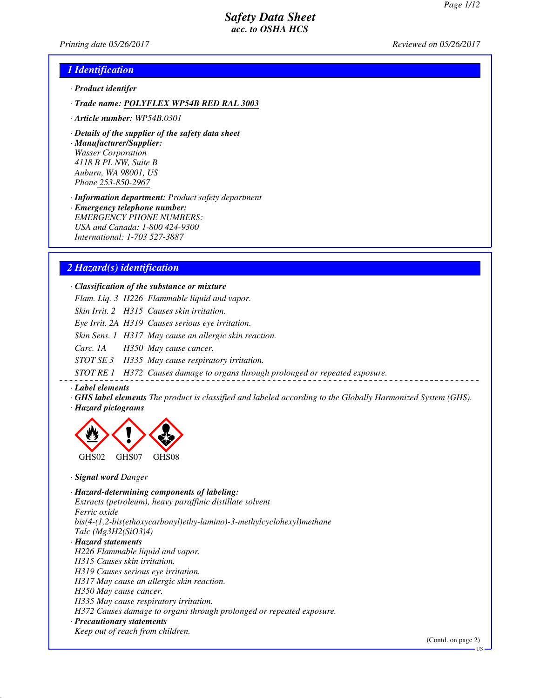*Printing date 05/26/2017 Reviewed on 05/26/2017*

### *1 Identification*

- *· Product identifer*
- *· Trade name: POLYFLEX WP54B RED RAL 3003*
- *· Article number: WP54B.0301*
- *· Details of the supplier of the safety data sheet*

*· Manufacturer/Supplier: Wasser Corporation 4118 B PL NW, Suite B Auburn, WA 98001, US Phone 253-850-2967*

*· Information department: Product safety department*

*· Emergency telephone number: EMERGENCY PHONE NUMBERS: USA and Canada: 1-800 424-9300 International: 1-703 527-3887*

### *2 Hazard(s) identification*

*· Classification of the substance or mixture*

*Flam. Liq. 3 H226 Flammable liquid and vapor.*

*Skin Irrit. 2 H315 Causes skin irritation.*

*Eye Irrit. 2A H319 Causes serious eye irritation.*

*Skin Sens. 1 H317 May cause an allergic skin reaction.*

*Carc. 1A H350 May cause cancer.*

*STOT SE 3 H335 May cause respiratory irritation.*

*STOT RE 1 H372 Causes damage to organs through prolonged or repeated exposure.*

#### *· Label elements*

*· GHS label elements The product is classified and labeled according to the Globally Harmonized System (GHS). · Hazard pictograms*



*· Signal word Danger*

*· Hazard-determining components of labeling: Extracts (petroleum), heavy paraffinic distillate solvent Ferric oxide bis(4-(1,2-bis(ethoxycarbonyl)ethy-lamino)-3-methylcyclohexyl)methane Talc (Mg3H2(SiO3)4) · Hazard statements H226 Flammable liquid and vapor. H315 Causes skin irritation. H319 Causes serious eye irritation. H317 May cause an allergic skin reaction.*

*H350 May cause cancer.*

*H335 May cause respiratory irritation.*

*H372 Causes damage to organs through prolonged or repeated exposure.*

#### *· Precautionary statements*

*Keep out of reach from children.*

(Contd. on page 2)

US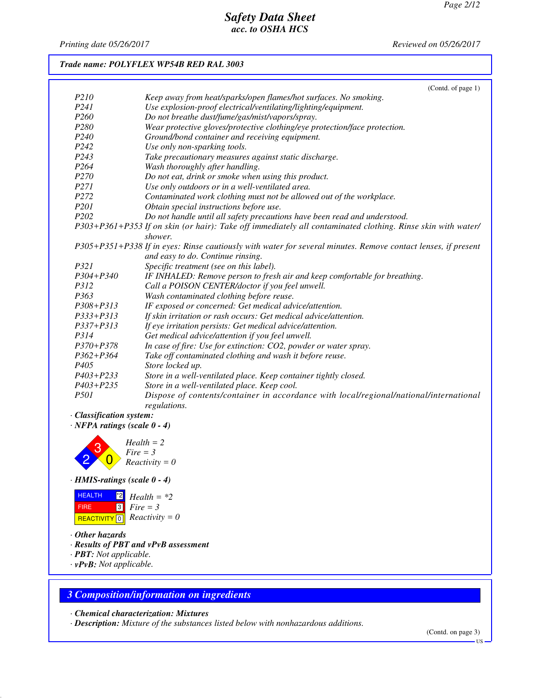*Printing date 05/26/2017 Reviewed on 05/26/2017*

### *Trade name: POLYFLEX WP54B RED RAL 3003*

|                  | (Contd. of page $1$ )                                                                                         |
|------------------|---------------------------------------------------------------------------------------------------------------|
| P210             | Keep away from heat/sparks/open flames/hot surfaces. No smoking.                                              |
| P241             | Use explosion-proof electrical/ventilating/lighting/equipment.                                                |
| P <sub>260</sub> | Do not breathe dust/fume/gas/mist/vapors/spray.                                                               |
| P280             | Wear protective gloves/protective clothing/eye protection/face protection.                                    |
| P <sub>240</sub> | Ground/bond container and receiving equipment.                                                                |
| P <sub>242</sub> | Use only non-sparking tools.                                                                                  |
| P <sub>243</sub> | Take precautionary measures against static discharge.                                                         |
| P <sub>264</sub> | Wash thoroughly after handling.                                                                               |
| P <sub>270</sub> | Do not eat, drink or smoke when using this product.                                                           |
| <i>P271</i>      | Use only outdoors or in a well-ventilated area.                                                               |
| P <sub>272</sub> | Contaminated work clothing must not be allowed out of the workplace.                                          |
| P <sub>201</sub> | Obtain special instructions before use.                                                                       |
| P <sub>202</sub> | Do not handle until all safety precautions have been read and understood.                                     |
|                  | P303+P361+P353 If on skin (or hair): Take off immediately all contaminated clothing. Rinse skin with water/   |
|                  | shower.                                                                                                       |
|                  | P305+P351+P338 If in eyes: Rinse cautiously with water for several minutes. Remove contact lenses, if present |
|                  | and easy to do. Continue rinsing.                                                                             |
| P321             | Specific treatment (see on this label).                                                                       |
| $P304 + P340$    | IF INHALED: Remove person to fresh air and keep comfortable for breathing.                                    |
| P312             | Call a POISON CENTER/doctor if you feel unwell.                                                               |
| P363             | Wash contaminated clothing before reuse.                                                                      |
| $P308 + P313$    | IF exposed or concerned: Get medical advice/attention.                                                        |
| $P333+P313$      | If skin irritation or rash occurs: Get medical advice/attention.                                              |
| P337+P313        | If eye irritation persists: Get medical advice/attention.                                                     |
| P314             | Get medical advice/attention if you feel unwell.                                                              |
| $P370 + P378$    | In case of fire: Use for extinction: CO2, powder or water spray.                                              |
| $P362 + P364$    | Take off contaminated clothing and wash it before reuse.                                                      |
| P <sub>405</sub> | Store locked up.                                                                                              |
| $P403 + P233$    | Store in a well-ventilated place. Keep container tightly closed.                                              |
| $P403 + P235$    | Store in a well-ventilated place. Keep cool.                                                                  |
| <i>P501</i>      | Dispose of contents/container in accordance with local/regional/national/international                        |
|                  | regulations.                                                                                                  |

- *· Classification system:*
- *· NFPA ratings (scale 0 4)*



#### *· HMIS-ratings (scale 0 - 4)*

| <b>HEALTH</b> | $\frac{1}{2}$ Health = *2                    |
|---------------|----------------------------------------------|
| <b>FIRE</b>   | $\blacksquare$ 3 $\blacksquare$ Fire = 3     |
|               | REACTIVITY $\boxed{0}$ <i>Reactivity</i> = 0 |

- *· Other hazards*
- *· Results of PBT and vPvB assessment*
- *· PBT: Not applicable.*
- *· vPvB: Not applicable.*

### *3 Composition/information on ingredients*

*· Chemical characterization: Mixtures*

*· Description: Mixture of the substances listed below with nonhazardous additions.*

(Contd. on page 3)

US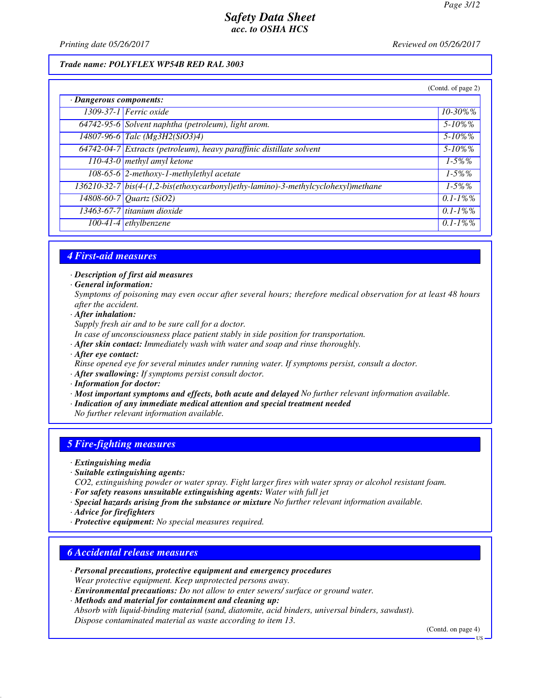*Printing date 05/26/2017 Reviewed on 05/26/2017*

#### *Trade name: POLYFLEX WP54B RED RAL 3003*

|                         |                                                                                   | (Contd. of page 2) |
|-------------------------|-----------------------------------------------------------------------------------|--------------------|
| · Dangerous components: |                                                                                   |                    |
|                         | $1309-37-1$ Ferric oxide                                                          | $10 - 30\%$ %      |
|                         | 64742-95-6 Solvent naphtha (petroleum), light arom.                               | $5 - 10\%$ %       |
|                         | 14807-96-6 Talc (Mg3H2(SiO3)4)                                                    | $5 - 10\%$ %       |
|                         | 64742-04-7 Extracts (petroleum), heavy paraffinic distillate solvent              | $5 - 10\%$ %       |
|                         | 110-43-0 methyl amyl ketone                                                       | $1 - 5\%$ %        |
|                         | 108-65-6 2-methoxy-1-methylethyl acetate                                          | $1 - 5\%$ %        |
|                         | 136210-32-7 bis(4-(1,2-bis(ethoxycarbonyl)ethy-lamino)-3-methylcyclohexyl)methane | $1 - 5\%$ %        |
|                         | 14808-60-7 Quartz (SiO2)                                                          | $0.1 - 1\%$ %      |
|                         | 13463-67-7 titanium dioxide                                                       | $0.1 - 1\%$ %      |
|                         | $100-41-4$ ethylbenzene                                                           | $0.1 - 1\%$ %      |

### *4 First-aid measures*

*· Description of first aid measures*

*· General information:*

*Symptoms of poisoning may even occur after several hours; therefore medical observation for at least 48 hours after the accident.*

*· After inhalation:*

*Supply fresh air and to be sure call for a doctor.*

- *In case of unconsciousness place patient stably in side position for transportation.*
- *· After skin contact: Immediately wash with water and soap and rinse thoroughly.*
- *· After eye contact:*

*Rinse opened eye for several minutes under running water. If symptoms persist, consult a doctor.*

*· After swallowing: If symptoms persist consult doctor.*

- *· Information for doctor:*
- *· Most important symptoms and effects, both acute and delayed No further relevant information available.*
- *· Indication of any immediate medical attention and special treatment needed*
- *No further relevant information available.*

### *5 Fire-fighting measures*

- *· Extinguishing media*
- *· Suitable extinguishing agents:*
- *CO2, extinguishing powder or water spray. Fight larger fires with water spray or alcohol resistant foam. · For safety reasons unsuitable extinguishing agents: Water with full jet*
- *· Special hazards arising from the substance or mixture No further relevant information available.*
- *· Advice for firefighters*
- *· Protective equipment: No special measures required.*

### *6 Accidental release measures*

- *· Personal precautions, protective equipment and emergency procedures Wear protective equipment. Keep unprotected persons away.*
- *· Environmental precautions: Do not allow to enter sewers/ surface or ground water.*
- *· Methods and material for containment and cleaning up:*

*Absorb with liquid-binding material (sand, diatomite, acid binders, universal binders, sawdust). Dispose contaminated material as waste according to item 13.*

(Contd. on page 4)

US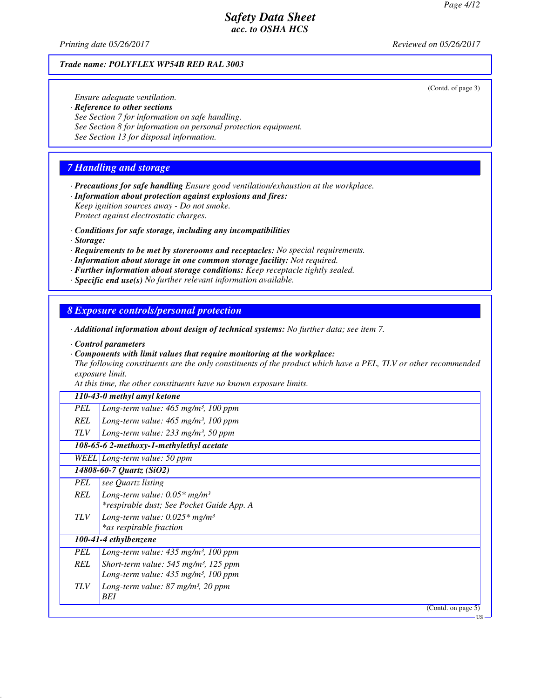*Printing date 05/26/2017 Reviewed on 05/26/2017*

#### *Trade name: POLYFLEX WP54B RED RAL 3003*

(Contd. of page 3)

*Ensure adequate ventilation.*

- *· Reference to other sections*
- *See Section 7 for information on safe handling.*
- *See Section 8 for information on personal protection equipment.*
- *See Section 13 for disposal information.*

### *7 Handling and storage*

- *· Precautions for safe handling Ensure good ventilation/exhaustion at the workplace.*
- *· Information about protection against explosions and fires: Keep ignition sources away - Do not smoke. Protect against electrostatic charges.*
- *· Conditions for safe storage, including any incompatibilities*
- *· Storage:*
- *· Requirements to be met by storerooms and receptacles: No special requirements.*
- *· Information about storage in one common storage facility: Not required.*
- *· Further information about storage conditions: Keep receptacle tightly sealed.*
- *· Specific end use(s) No further relevant information available.*

### *8 Exposure controls/personal protection*

- *· Additional information about design of technical systems: No further data; see item 7.*
- *· Control parameters*
- *· Components with limit values that require monitoring at the workplace:*

*The following constituents are the only constituents of the product which have a PEL, TLV or other recommended exposure limit.*

*At this time, the other constituents have no known exposure limits.*

#### *110-43-0 methyl amyl ketone*

|  | PEL   Long-term value: 465 mg/m <sup>3</sup> , 100 ppm |  |  |  |
|--|--------------------------------------------------------|--|--|--|
|--|--------------------------------------------------------|--|--|--|

- *REL Long-term value: 465 mg/m³, 100 ppm*
- *TLV Long-term value: 233 mg/m³, 50 ppm*

### *108-65-6 2-methoxy-1-methylethyl acetate*

#### *WEEL Long-term value: 50 ppm*

## *14808-60-7 Quartz (SiO2)*

- *PEL see Quartz listing REL Long-term value: 0.05\* mg/m³ \*respirable dust; See Pocket Guide App. A TLV Long-term value: 0.025\* mg/m³*
- *\*as respirable fraction*

### *100-41-4 ethylbenzene*

- *PEL Long-term value: 435 mg/m³, 100 ppm REL Short-term value: 545 mg/m³, 125 ppm Long-term value: 435 mg/m³, 100 ppm*
- *TLV Long-term value: 87 mg/m³, 20 ppm BEI*

(Contd. on page 5)

US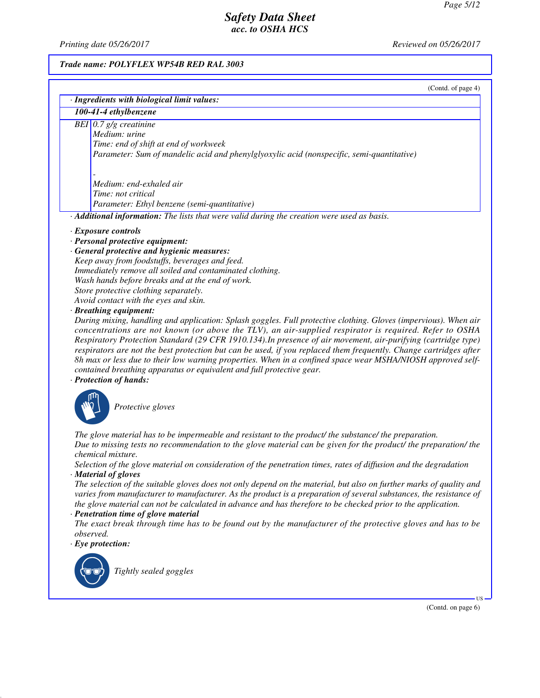*Printing date 05/26/2017 Reviewed on 05/26/2017*

# *Trade name: POLYFLEX WP54B RED RAL 3003*

| (Contd. of page 4) |  |  |
|--------------------|--|--|
|                    |  |  |

| · Ingredients with biological limit values:                                                                                                                                                                                         |
|-------------------------------------------------------------------------------------------------------------------------------------------------------------------------------------------------------------------------------------|
| 100-41-4 ethylbenzene                                                                                                                                                                                                               |
| BEI $0.7$ g/g creatinine                                                                                                                                                                                                            |
| Medium: urine                                                                                                                                                                                                                       |
| Time: end of shift at end of workweek                                                                                                                                                                                               |
| Parameter: Sum of mandelic acid and phenylglyoxylic acid (nonspecific, semi-quantitative)                                                                                                                                           |
|                                                                                                                                                                                                                                     |
|                                                                                                                                                                                                                                     |
| Medium: end-exhaled air                                                                                                                                                                                                             |
| Time: not critical                                                                                                                                                                                                                  |
| Parameter: Ethyl benzene (semi-quantitative)                                                                                                                                                                                        |
| Additional information: The lists that were valid during the creation were used as basis.                                                                                                                                           |
| · Exposure controls                                                                                                                                                                                                                 |
| · Personal protective equipment:                                                                                                                                                                                                    |
| · General protective and hygienic measures:                                                                                                                                                                                         |
| Keep away from foodstuffs, beverages and feed.                                                                                                                                                                                      |
| Immediately remove all soiled and contaminated clothing.                                                                                                                                                                            |
| Wash hands before breaks and at the end of work.                                                                                                                                                                                    |
| Store protective clothing separately.                                                                                                                                                                                               |
| Avoid contact with the eyes and skin.                                                                                                                                                                                               |
| · Breathing equipment:                                                                                                                                                                                                              |
| During mixing, handling and application: Splash goggles. Full protective clothing. Gloves (impervious). When air                                                                                                                    |
| concentrations are not known (or above the TLV), an air-supplied respirator is required. Refer to OSHA                                                                                                                              |
| Respiratory Protection Standard (29 CFR 1910.134). In presence of air movement, air-purifying (cartridge type)                                                                                                                      |
| respirators are not the best protection but can be used, if you replaced them frequently. Change cartridges after                                                                                                                   |
| 8h max or less due to their low warning properties. When in a confined space wear MSHA/NIOSH approved self-                                                                                                                         |
| contained breathing apparatus or equivalent and full protective gear.                                                                                                                                                               |
| · Protection of hands:                                                                                                                                                                                                              |
|                                                                                                                                                                                                                                     |
| Protective gloves                                                                                                                                                                                                                   |
|                                                                                                                                                                                                                                     |
|                                                                                                                                                                                                                                     |
| The glove material has to be impermeable and resistant to the product/ the substance/ the preparation.                                                                                                                              |
| Due to missing tests no recommendation to the glove material can be given for the product/ the preparation/ the                                                                                                                     |
| chemical mixture.                                                                                                                                                                                                                   |
| Selection of the glove material on consideration of the penetration times, rates of diffusion and the degradation                                                                                                                   |
| · Material of gloves                                                                                                                                                                                                                |
| The selection of the suitable gloves does not only depend on the material, but also on further marks of quality and                                                                                                                 |
| varies from manufacturer to manufacturer. As the product is a preparation of several substances, the resistance of<br>the glove material can not be calculated in advance and has therefore to be checked prior to the application. |
| · Penetration time of glove material                                                                                                                                                                                                |
| The exact break through time has to be found out by the manufacturer of the protective gloves and has to be                                                                                                                         |
| observed.                                                                                                                                                                                                                           |
| $\cdot$ Eye protection:                                                                                                                                                                                                             |
|                                                                                                                                                                                                                                     |
|                                                                                                                                                                                                                                     |
| Tightly sealed goggles                                                                                                                                                                                                              |
|                                                                                                                                                                                                                                     |
| $US -$                                                                                                                                                                                                                              |

(Contd. on page 6)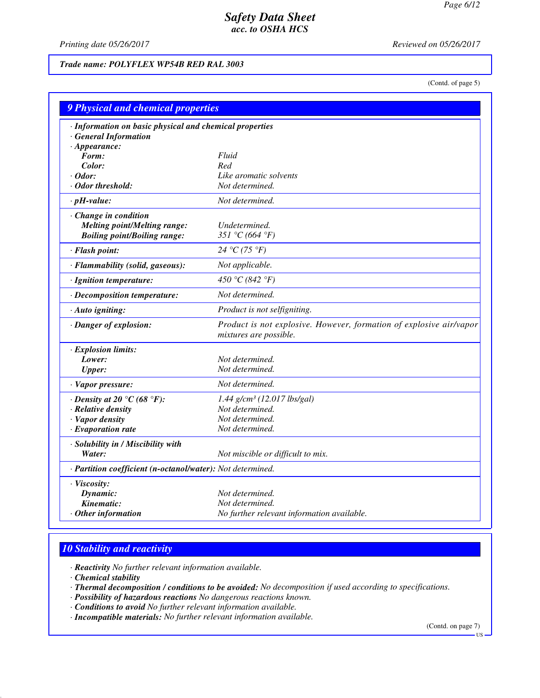*Printing date 05/26/2017 Reviewed on 05/26/2017*

*Trade name: POLYFLEX WP54B RED RAL 3003*

(Contd. of page 5)

|                                                            | 9 Physical and chemical properties                                  |  |  |
|------------------------------------------------------------|---------------------------------------------------------------------|--|--|
| · Information on basic physical and chemical properties    |                                                                     |  |  |
| <b>General Information</b>                                 |                                                                     |  |  |
| $\cdot$ Appearance:<br>Form:                               | Fluid                                                               |  |  |
| Color:                                                     | Red                                                                 |  |  |
| $\cdot$ Odor:                                              | Like aromatic solvents                                              |  |  |
| · Odor threshold:                                          | Not determined.                                                     |  |  |
| $\cdot$ pH-value:                                          | Not determined.                                                     |  |  |
| Change in condition                                        |                                                                     |  |  |
| <b>Melting point/Melting range:</b>                        | Undetermined.                                                       |  |  |
| <b>Boiling point/Boiling range:</b>                        | 351 °C (664 °F)                                                     |  |  |
| · Flash point:                                             | 24 °C (75 °F)                                                       |  |  |
| · Flammability (solid, gaseous):                           | Not applicable.                                                     |  |  |
| · Ignition temperature:                                    | 450 °C (842 °F)                                                     |  |  |
| · Decomposition temperature:                               | Not determined.                                                     |  |  |
| · Auto igniting:                                           | Product is not selfigniting.                                        |  |  |
| · Danger of explosion:                                     | Product is not explosive. However, formation of explosive air/vapor |  |  |
|                                                            | mixtures are possible.                                              |  |  |
| · Explosion limits:                                        |                                                                     |  |  |
| Lower:                                                     | Not determined.                                                     |  |  |
| <b>Upper:</b>                                              | Not determined.                                                     |  |  |
| · Vapor pressure:                                          | Not determined.                                                     |  |  |
| $\cdot$ Density at 20 $\degree$ C (68 $\degree$ F):        | 1.44 g/cm <sup>3</sup> (12.017 lbs/gal)                             |  |  |
| · Relative density                                         | Not determined.                                                     |  |  |
| · Vapor density                                            | Not determined.                                                     |  |  |
| $\cdot$ Evaporation rate                                   | Not determined.                                                     |  |  |
| · Solubility in / Miscibility with                         |                                                                     |  |  |
| Water:                                                     | Not miscible or difficult to mix.                                   |  |  |
| · Partition coefficient (n-octanol/water): Not determined. |                                                                     |  |  |
| · Viscosity:                                               |                                                                     |  |  |
| Dynamic:                                                   | Not determined.                                                     |  |  |
| Kinematic:                                                 | Not determined.                                                     |  |  |
| Other information                                          | No further relevant information available.                          |  |  |

## *10 Stability and reactivity*

*· Reactivity No further relevant information available.*

*· Chemical stability*

*· Thermal decomposition / conditions to be avoided: No decomposition if used according to specifications.*

*· Possibility of hazardous reactions No dangerous reactions known.*

*· Conditions to avoid No further relevant information available.*

*· Incompatible materials: No further relevant information available.*

(Contd. on page 7)

US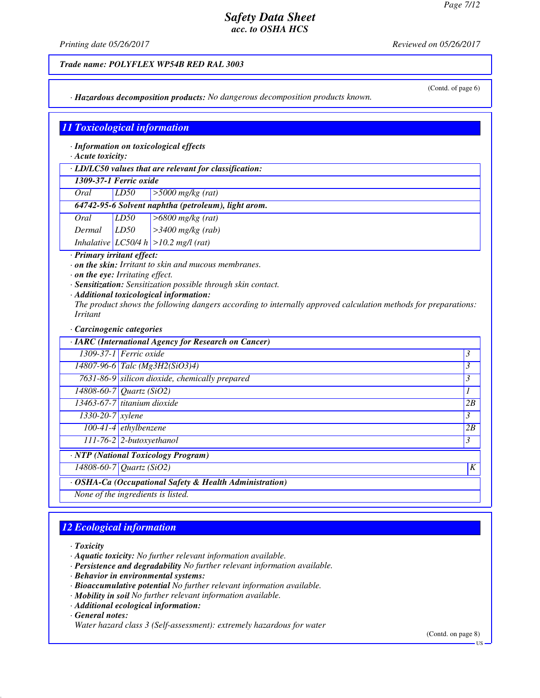(Contd. of page 6)

## *Safety Data Sheet acc. to OSHA HCS*

*Printing date 05/26/2017 Reviewed on 05/26/2017*

*Trade name: POLYFLEX WP54B RED RAL 3003*

*· Hazardous decomposition products: No dangerous decomposition products known.*

## *11 Toxicological information*

*· Information on toxicological effects*

*· Acute toxicity:*

*· LD/LC50 values that are relevant for classification:*

*1309-37-1 Ferric oxide*

|      |      | 64742-95-6 Solvent naphtha (petroleum), light arom. |
|------|------|-----------------------------------------------------|
| Oral | LD50 | $\geq$ 5000 mg/kg (rat)                             |

*Oral LD50 >6800 mg/kg (rat) Dermal LD50 >3400 mg/kg (rab)*

*Inhalative LC50/4 h >10.2 mg/l (rat)*

*· Primary irritant effect:*

*· on the skin: Irritant to skin and mucous membranes.*

*· on the eye: Irritating effect.*

*· Sensitization: Sensitization possible through skin contact.*

*· Additional toxicological information:*

*The product shows the following dangers according to internally approved calculation methods for preparations: Irritant*

*· Carcinogenic categories*

|                                                         | · IARC (International Agency for Research on Cancer) |                |  |
|---------------------------------------------------------|------------------------------------------------------|----------------|--|
|                                                         | $1309-37-1$ Ferric oxide                             | 3              |  |
|                                                         | 14807-96-6 Talc (Mg3H2(SiO3)4)                       | 3              |  |
|                                                         | $7631-86-9$ silicon dioxide, chemically prepared     | $\mathfrak{Z}$ |  |
|                                                         | $\overline{14808}$ -60-7   Quartz (SiO2)             |                |  |
|                                                         | $13463-67-7$ titanium dioxide                        | 2B             |  |
| $1330 - 20 - 7$ <i>xylene</i>                           |                                                      | $\mathfrak{Z}$ |  |
|                                                         | $100-41-4$ ethylbenzene                              | 2B             |  |
| $111-76-2$ 2-butoxyethanol<br>3                         |                                                      |                |  |
|                                                         | · NTP (National Toxicology Program)                  |                |  |
| 14808-60-7 Quartz (SiO2)<br>K                           |                                                      |                |  |
| · OSHA-Ca (Occupational Safety & Health Administration) |                                                      |                |  |
|                                                         | None of the ingredients is listed.                   |                |  |

## *12 Ecological information*

*· Toxicity*

- *· Aquatic toxicity: No further relevant information available.*
- *· Persistence and degradability No further relevant information available.*
- *· Behavior in environmental systems:*
- *· Bioaccumulative potential No further relevant information available.*
- *· Mobility in soil No further relevant information available.*
- *· Additional ecological information:*

*· General notes:*

*Water hazard class 3 (Self-assessment): extremely hazardous for water*

(Contd. on page 8)

US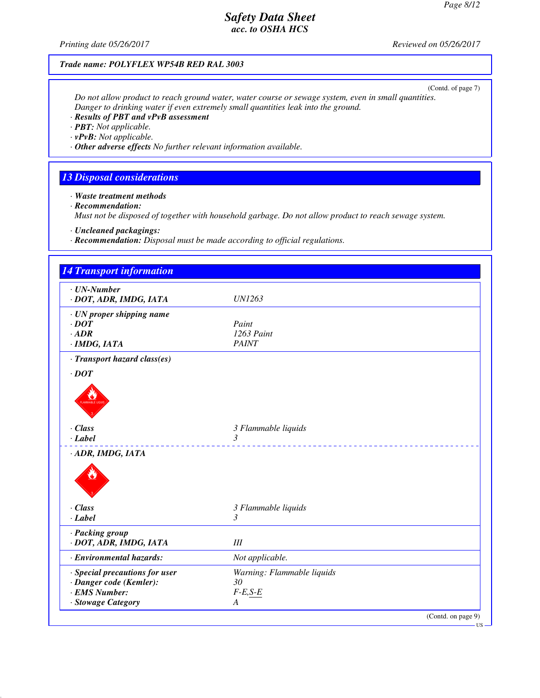(Contd. on page 9)

US

# *Printing date 05/26/2017 Reviewed on 05/26/2017 Trade name: POLYFLEX WP54B RED RAL 3003* (Contd. of page 7) *Do not allow product to reach ground water, water course or sewage system, even in small quantities. Danger to drinking water if even extremely small quantities leak into the ground. · Results of PBT and vPvB assessment · PBT: Not applicable. · vPvB: Not applicable. · Other adverse effects No further relevant information available. 13 Disposal considerations · Waste treatment methods · Recommendation: Must not be disposed of together with household garbage. Do not allow product to reach sewage system. · Uncleaned packagings: · Recommendation: Disposal must be made according to official regulations. 14 Transport information · UN-Number · DOT, ADR, IMDG, IATA UN1263 · UN proper shipping name · DOT Paint <i>·**ADR 1263 Paint PAINT PAINT · IMDG, IATA · Transport hazard class(es) · DOT* PLANMABLE LIQUO *· Class 3 Flammable liquids · Label 3 · ADR, IMDG, IATA* de la Carte de la Carte de la Carte de la Carte de la Carte de la Carte de la Carte de la Carte de la Carte de *· Class 3 Flammable liquids · Label 3 · Packing group · DOT, ADR, IMDG, IATA III · Environmental hazards: Not applicable. · Special precautions for user Warning: Flammable liquids · Danger code (Kemler):*  $30$ <br>*· EMS Number:*  $F$ -*E,S-E · EMS Number: F-E,S-E · Stowage Category A*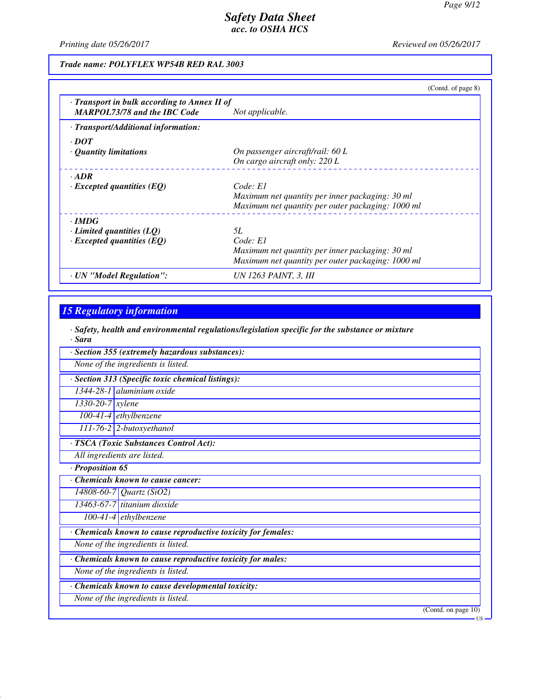*Printing date 05/26/2017 Reviewed on 05/26/2017*

*Trade name: POLYFLEX WP54B RED RAL 3003*

|                                                                                   | (Contd. of page 8)                                |
|-----------------------------------------------------------------------------------|---------------------------------------------------|
| Transport in bulk according to Annex II of<br><b>MARPOL73/78 and the IBC Code</b> | Not applicable.                                   |
| · Transport/Additional information:                                               |                                                   |
| $\cdot$ DOT                                                                       |                                                   |
| <b>Quantity limitations</b>                                                       | On passenger aircraft/rail: 60 L                  |
|                                                                                   | On cargo aircraft only: 220 L                     |
| $\cdot$ ADR                                                                       |                                                   |
| $\cdot$ Excepted quantities (EQ)                                                  | Code: El                                          |
|                                                                                   | Maximum net quantity per inner packaging: 30 ml   |
|                                                                                   | Maximum net quantity per outer packaging: 1000 ml |
| $\cdot$ IMDG                                                                      |                                                   |
| $\cdot$ Limited quantities (LQ)                                                   | 5L                                                |
| $\cdot$ Excepted quantities (EQ)                                                  | Code: El                                          |
|                                                                                   | Maximum net quantity per inner packaging: 30 ml   |
|                                                                                   | Maximum net quantity per outer packaging: 1000 ml |
| · UN "Model Regulation":                                                          | UN 1263 PAINT, 3, III                             |

## *15 Regulatory information*

*· Safety, health and environmental regulations/legislation specific for the substance or mixture · Sara*

| · Section 355 (extremely hazardous substances):             |                     |
|-------------------------------------------------------------|---------------------|
| None of the ingredients is listed.                          |                     |
| · Section 313 (Specific toxic chemical listings):           |                     |
| 1344-28-1 aluminium oxide                                   |                     |
| $1330-20-7$ xylene                                          |                     |
| $100-41-4$ ethylbenzene                                     |                     |
| 111-76-2 2-butoxyethanol                                    |                     |
| · TSCA (Toxic Substances Control Act):                      |                     |
| All ingredients are listed.                                 |                     |
| · Proposition 65                                            |                     |
| <b>Chemicals known to cause cancer:</b>                     |                     |
| 14808-60-7 Quartz (SiO2)                                    |                     |
| 13463-67-7 titanium dioxide                                 |                     |
| $\overline{100}$ -41-4 ethylbenzene                         |                     |
| Chemicals known to cause reproductive toxicity for females: |                     |
| None of the ingredients is listed.                          |                     |
| Chemicals known to cause reproductive toxicity for males:   |                     |
| None of the ingredients is listed.                          |                     |
| Chemicals known to cause developmental toxicity:            |                     |
| None of the ingredients is listed.                          |                     |
|                                                             | (Contd. on page 10) |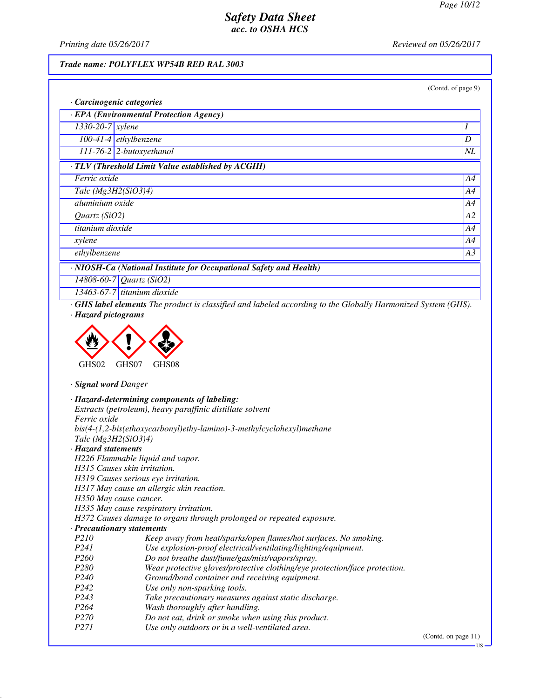*Printing date 05/26/2017 Reviewed on 05/26/2017*

## *Trade name: POLYFLEX WP54B RED RAL 3003*

| (Contd. of page 9) |
|--------------------|
|--------------------|

| · Carcinogenic categories                                          |                          |
|--------------------------------------------------------------------|--------------------------|
| $\cdot$ EPA (Environmental Protection Agency)                      |                          |
| $1330-20-7$ xylene                                                 |                          |
| $100-41-4$ ethylbenzene                                            | D                        |
| $111-76-2$ 2-butoxyethanol                                         | $\mathcal{N}\mathcal{L}$ |
| · TLV (Threshold Limit Value established by ACGIH)                 |                          |
| Ferric oxide                                                       | A4                       |
| Talc $(Mg3H2(SiO3)4)$                                              | A4                       |
| aluminium oxide                                                    | A4                       |
| A2<br>Quartz $(SiO2)$                                              |                          |
| titanium dioxide                                                   | A4                       |
| xylene                                                             | A4                       |
| ethylbenzene                                                       | A3                       |
| · NIOSH-Ca (National Institute for Occupational Safety and Health) |                          |
| 14808-60-7 Quartz (SiO2)                                           |                          |

*13463-67-7 titanium dioxide*

*· GHS label elements The product is classified and labeled according to the Globally Harmonized System (GHS). · Hazard pictograms*



*· Signal word Danger*

|                                     | · Hazard-determining components of labeling:                               |
|-------------------------------------|----------------------------------------------------------------------------|
|                                     | Extracts (petroleum), heavy paraffinic distillate solvent                  |
| <i>Ferric oxide</i>                 |                                                                            |
|                                     | $bis(4-(1,2-bis(ethoxycarbonyl)ethy-lamino)-3-methylcyclohexyl) method$    |
| Talc $(Mg3H2(SiO3)4)$               |                                                                            |
| · Hazard statements                 |                                                                            |
| H226 Flammable liquid and vapor.    |                                                                            |
| H315 Causes skin irritation.        |                                                                            |
| H319 Causes serious eye irritation. |                                                                            |
|                                     | H317 May cause an allergic skin reaction.                                  |
| H350 May cause cancer.              |                                                                            |
|                                     | H335 May cause respiratory irritation.                                     |
|                                     | H372 Causes damage to organs through prolonged or repeated exposure.       |
| · Precautionary statements          |                                                                            |
| <i>P210</i>                         | Keep away from heat/sparks/open flames/hot surfaces. No smoking.           |
| P241                                | Use explosion-proof electrical/ventilating/lighting/equipment.             |
| <i>P260</i>                         | Do not breathe dust/fume/gas/mist/vapors/spray.                            |
| P <sub>280</sub>                    | Wear protective gloves/protective clothing/eye protection/face protection. |
| P <sub>240</sub>                    | Ground/bond container and receiving equipment.                             |
| P <sub>242</sub>                    | Use only non-sparking tools.                                               |
| P <sub>243</sub>                    | Take precautionary measures against static discharge.                      |
| P <sub>264</sub>                    | Wash thoroughly after handling.                                            |
| <i>P270</i>                         | Do not eat, drink or smoke when using this product.                        |
| <i>P271</i>                         | Use only outdoors or in a well-ventilated area.                            |

(Contd. on page 11)

US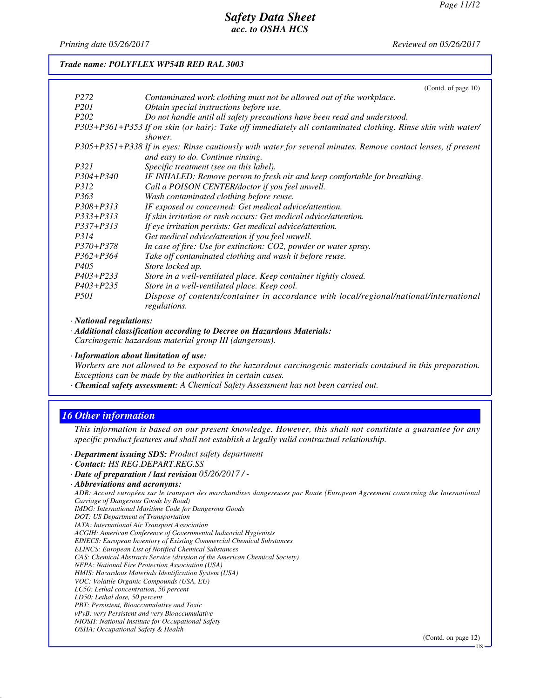*Printing date 05/26/2017 Reviewed on 05/26/2017*

#### *Trade name: POLYFLEX WP54B RED RAL 3003*

|                  | (Contd. of page $10$ )                                                                                        |
|------------------|---------------------------------------------------------------------------------------------------------------|
| P <sub>272</sub> | Contaminated work clothing must not be allowed out of the workplace.                                          |
| <i>P201</i>      | Obtain special instructions before use.                                                                       |
| P <sub>202</sub> | Do not handle until all safety precautions have been read and understood.                                     |
|                  | P303+P361+P353 If on skin (or hair): Take off immediately all contaminated clothing. Rinse skin with water/   |
|                  | shower.                                                                                                       |
|                  | P305+P351+P338 If in eyes: Rinse cautiously with water for several minutes. Remove contact lenses, if present |
|                  | and easy to do. Continue rinsing.                                                                             |
| <i>P321</i>      | Specific treatment (see on this label).                                                                       |
| $P304 + P340$    | IF INHALED: Remove person to fresh air and keep comfortable for breathing.                                    |
| <i>P312</i>      | Call a POISON CENTER/doctor if you feel unwell.                                                               |
| P <sub>363</sub> | Wash contaminated clothing before reuse.                                                                      |
| $P308 + P313$    | IF exposed or concerned: Get medical advice/attention.                                                        |
| $P333+P313$      | If skin irritation or rash occurs: Get medical advice/attention.                                              |
| $P337 + P313$    | If eye irritation persists: Get medical advice/attention.                                                     |
| P314             | Get medical advice/attention if you feel unwell.                                                              |
| $P370 + P378$    | In case of fire: Use for extinction: CO2, powder or water spray.                                              |
| $P362 + P364$    | Take off contaminated clothing and wash it before reuse.                                                      |
| P405             | Store locked up.                                                                                              |
| $P403 + P233$    | Store in a well-ventilated place. Keep container tightly closed.                                              |
| $P403 + P235$    | Store in a well-ventilated place. Keep cool.                                                                  |
| <i>P501</i>      | Dispose of contents/container in accordance with local/regional/national/international<br>regulations.        |

*· National regulations:*

*· Additional classification according to Decree on Hazardous Materials: Carcinogenic hazardous material group III (dangerous).*

*· Information about limitation of use:*

*Workers are not allowed to be exposed to the hazardous carcinogenic materials contained in this preparation. Exceptions can be made by the authorities in certain cases.*

*· Chemical safety assessment: A Chemical Safety Assessment has not been carried out.*

### *16 Other information*

*This information is based on our present knowledge. However, this shall not constitute a guarantee for any specific product features and shall not establish a legally valid contractual relationship.*

*· Department issuing SDS: Product safety department*

*· Contact: HS REG.DEPART.REG.SS*

*ADR: Accord européen sur le transport des marchandises dangereuses par Route (European Agreement concerning the International Carriage of Dangerous Goods by Road)*

*IMDG: International Maritime Code for Dangerous Goods*

- *DOT: US Department of Transportation*
- *IATA: International Air Transport Association*

*ACGIH: American Conference of Governmental Industrial Hygienists*

*EINECS: European Inventory of Existing Commercial Chemical Substances*

*ELINCS: European List of Notified Chemical Substances*

*CAS: Chemical Abstracts Service (division of the American Chemical Society)*

*NFPA: National Fire Protection Association (USA)*

*HMIS: Hazardous Materials Identification System (USA)*

*VOC: Volatile Organic Compounds (USA, EU) LC50: Lethal concentration, 50 percent*

*LD50: Lethal dose, 50 percent*

*PBT: Persistent, Bioaccumulative and Toxic*

*vPvB: very Persistent and very Bioaccumulative*

*NIOSH: National Institute for Occupational Safety*

*OSHA: Occupational Safety & Health*

(Contd. on page 12)

*<sup>·</sup> Date of preparation / last revision 05/26/2017 / -*

*<sup>·</sup> Abbreviations and acronyms:*

US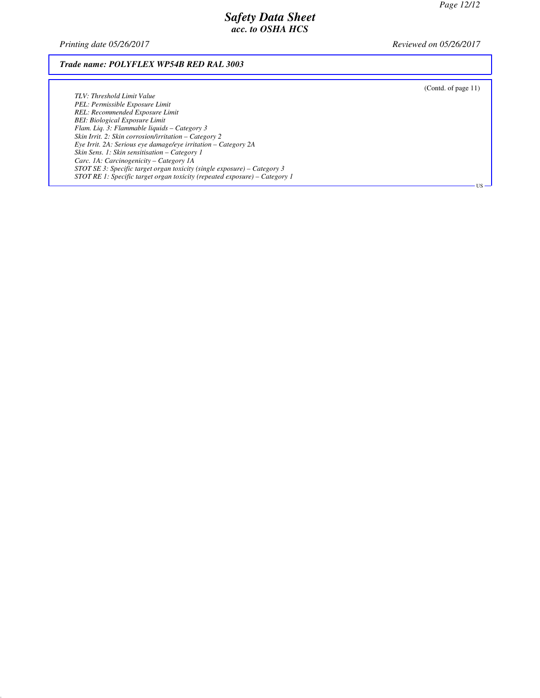*Printing date 05/26/2017 Reviewed on 05/26/2017*

### *Trade name: POLYFLEX WP54B RED RAL 3003*

*TLV: Threshold Limit Value PEL: Permissible Exposure Limit REL: Recommended Exposure Limit BEI: Biological Exposure Limit Flam. Liq. 3: Flammable liquids – Category 3 Skin Irrit. 2: Skin corrosion/irritation – Category 2 Eye Irrit. 2A: Serious eye damage/eye irritation – Category 2A Skin Sens. 1: Skin sensitisation – Category 1 Carc. 1A: Carcinogenicity – Category 1A STOT SE 3: Specific target organ toxicity (single exposure) – Category 3 STOT RE 1: Specific target organ toxicity (repeated exposure) – Category 1* (Contd. of page 11)

US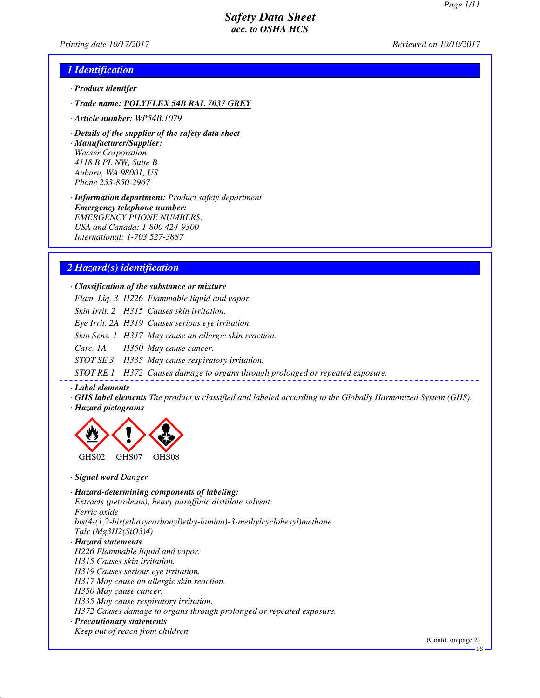*Printing date 10/17/2017 Reviewed on 10/10/2017*

### *1 Identification*

- *· Product identifer*
- *· Trade name: POLYFLEX 54B RAL 7037 GREY*
- *· Article number: WP54B.1079*
- *· Details of the supplier of the safety data sheet*

*· Manufacturer/Supplier: Wasser Corporation 4118 B PL NW, Suite B Auburn, WA 98001, US Phone 253-850-2967*

*· Information department: Product safety department*

*· Emergency telephone number: EMERGENCY PHONE NUMBERS: USA and Canada: 1-800 424-9300 International: 1-703 527-3887*

### *2 Hazard(s) identification*

*· Classification of the substance or mixture*

*Flam. Liq. 3 H226 Flammable liquid and vapor.*

*Skin Irrit. 2 H315 Causes skin irritation.*

*Eye Irrit. 2A H319 Causes serious eye irritation.*

*Skin Sens. 1 H317 May cause an allergic skin reaction.*

*Carc. 1A H350 May cause cancer.*

*STOT SE 3 H335 May cause respiratory irritation.*

*STOT RE 1 H372 Causes damage to organs through prolonged or repeated exposure.*

#### *· Label elements*

*· GHS label elements The product is classified and labeled according to the Globally Harmonized System (GHS). · Hazard pictograms*



*· Signal word Danger*

*· Hazard-determining components of labeling: Extracts (petroleum), heavy paraffinic distillate solvent Ferric oxide bis(4-(1,2-bis(ethoxycarbonyl)ethy-lamino)-3-methylcyclohexyl)methane Talc (Mg3H2(SiO3)4) · Hazard statements H226 Flammable liquid and vapor. H315 Causes skin irritation. H319 Causes serious eye irritation. H317 May cause an allergic skin reaction.*

*H350 May cause cancer.*

*H335 May cause respiratory irritation.*

*H372 Causes damage to organs through prolonged or repeated exposure.*

#### *· Precautionary statements*

*Keep out of reach from children.*

(Contd. on page 2)

US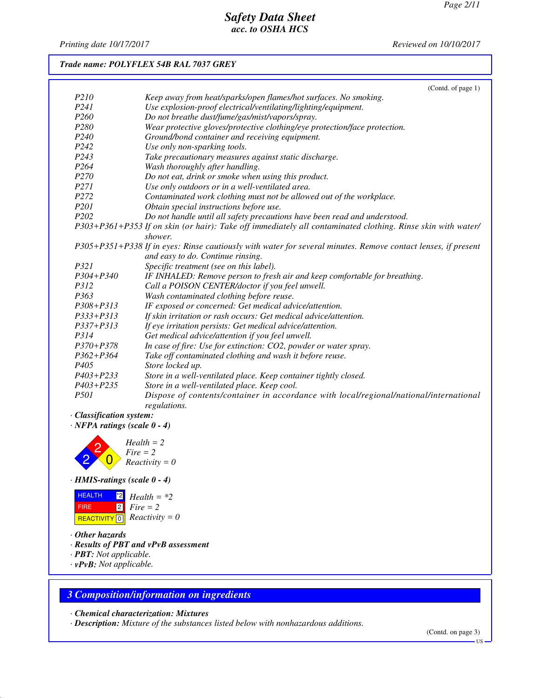*Printing date 10/17/2017 Reviewed on 10/10/2017*

## *Trade name: POLYFLEX 54B RAL 7037 GREY*

|                   | (Contd. of page 1)                                                                                            |
|-------------------|---------------------------------------------------------------------------------------------------------------|
| P <sub>210</sub>  | Keep away from heat/sparks/open flames/hot surfaces. No smoking.                                              |
| P <sub>24</sub> 1 | Use explosion-proof electrical/ventilating/lighting/equipment.                                                |
| P <sub>260</sub>  | Do not breathe dust/fume/gas/mist/vapors/spray.                                                               |
| P <sub>280</sub>  | Wear protective gloves/protective clothing/eye protection/face protection.                                    |
| P <sub>240</sub>  | Ground/bond container and receiving equipment.                                                                |
| P <sub>242</sub>  | Use only non-sparking tools.                                                                                  |
| P <sub>243</sub>  | Take precautionary measures against static discharge.                                                         |
| P <sub>264</sub>  | Wash thoroughly after handling.                                                                               |
| P <sub>270</sub>  | Do not eat, drink or smoke when using this product.                                                           |
| P271              | Use only outdoors or in a well-ventilated area.                                                               |
| P <sub>272</sub>  | Contaminated work clothing must not be allowed out of the workplace.                                          |
| P201              | Obtain special instructions before use.                                                                       |
| P <sub>202</sub>  | Do not handle until all safety precautions have been read and understood.                                     |
|                   | P303+P361+P353 If on skin (or hair): Take off immediately all contaminated clothing. Rinse skin with water/   |
|                   | shower.                                                                                                       |
|                   | P305+P351+P338 If in eyes: Rinse cautiously with water for several minutes. Remove contact lenses, if present |
|                   | and easy to do. Continue rinsing.                                                                             |
| P321              | Specific treatment (see on this label).                                                                       |
| $P304 + P340$     | IF INHALED: Remove person to fresh air and keep comfortable for breathing.                                    |
| <i>P312</i>       | Call a POISON CENTER/doctor if you feel unwell.                                                               |
| P <sub>363</sub>  | Wash contaminated clothing before reuse.                                                                      |
| $P308 + P313$     | IF exposed or concerned: Get medical advice/attention.                                                        |
| $P333+P313$       | If skin irritation or rash occurs: Get medical advice/attention.                                              |
| $P337 + P313$     | If eye irritation persists: Get medical advice/attention.                                                     |
| P314              | Get medical advice/attention if you feel unwell.                                                              |
| $P370 + P378$     | In case of fire: Use for extinction: CO2, powder or water spray.                                              |
| $P362 + P364$     | Take off contaminated clothing and wash it before reuse.                                                      |
| P <sub>405</sub>  | Store locked up.                                                                                              |
| $P403 + P233$     | Store in a well-ventilated place. Keep container tightly closed.                                              |
| $P403 + P235$     | Store in a well-ventilated place. Keep cool.                                                                  |
| <i>P501</i>       | Dispose of contents/container in accordance with local/regional/national/international                        |
|                   | regulations.                                                                                                  |

- *· Classification system:*
- *· NFPA ratings (scale 0 4)*



## *· HMIS-ratings (scale 0 - 4)*

| <b>HEALTH</b> | $^{\bullet 2}$ Health = *2            |
|---------------|---------------------------------------|
| <b>FIRE</b>   | $\lceil 2 \rceil$ Fire = 2            |
|               | REACTIVITY $\boxed{0}$ Reactivity = 0 |

- *· Other hazards*
- *· Results of PBT and vPvB assessment*
- *· PBT: Not applicable.*
- *· vPvB: Not applicable.*

# *3 Composition/information on ingredients*

*· Chemical characterization: Mixtures*

*· Description: Mixture of the substances listed below with nonhazardous additions.*

(Contd. on page 3)

US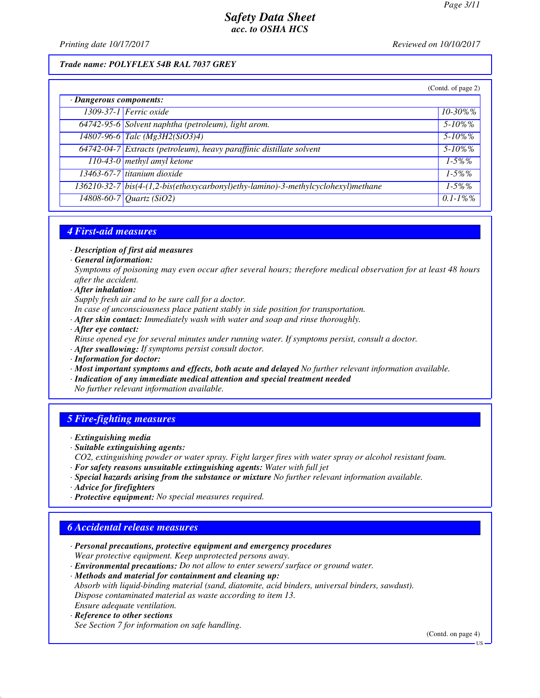*Printing date 10/17/2017 Reviewed on 10/10/2017*

### *Trade name: POLYFLEX 54B RAL 7037 GREY*

|                         |                                                                                   | (Contd. of page 2) |
|-------------------------|-----------------------------------------------------------------------------------|--------------------|
| · Dangerous components: |                                                                                   |                    |
|                         | 1309-37-1 Ferric oxide                                                            | $10 - 30\%$ %      |
|                         | 64742-95-6 Solvent naphtha (petroleum), light arom.                               | $5 - 10\%$ %       |
|                         | $14807 - 96 - 6$ Talc (Mg3H2(SiO3)4)                                              | $5 - 10\%$ %       |
|                         | 64742-04-7 Extracts (petroleum), heavy paraffinic distillate solvent              | $5 - 10\%$ %       |
|                         | 110-43-0 methyl amyl ketone                                                       | $1 - 5\%$ %        |
|                         | 13463-67-7 titanium dioxide                                                       | $1 - 5\%$ %        |
|                         | 136210-32-7 bis(4-(1,2-bis(ethoxycarbonyl)ethy-lamino)-3-methylcyclohexyl)methane | $1 - 5\%$ %        |
|                         | $\sqrt{14808 - 60 - 7}$ Quartz (SiO2)                                             | $0.1 - 1\%$ %      |

### *4 First-aid measures*

*· Description of first aid measures*

*· General information:*

*Symptoms of poisoning may even occur after several hours; therefore medical observation for at least 48 hours after the accident.*

*· After inhalation:*

*Supply fresh air and to be sure call for a doctor.*

- *In case of unconsciousness place patient stably in side position for transportation.*
- *· After skin contact: Immediately wash with water and soap and rinse thoroughly.*
- *· After eye contact:*

*Rinse opened eye for several minutes under running water. If symptoms persist, consult a doctor.*

- *· After swallowing: If symptoms persist consult doctor.*
- *· Information for doctor:*
- *· Most important symptoms and effects, both acute and delayed No further relevant information available. · Indication of any immediate medical attention and special treatment needed*
- *No further relevant information available.*

### *5 Fire-fighting measures*

- *· Extinguishing media*
- *· Suitable extinguishing agents:*
- *CO2, extinguishing powder or water spray. Fight larger fires with water spray or alcohol resistant foam.*
- *· For safety reasons unsuitable extinguishing agents: Water with full jet*
- *· Special hazards arising from the substance or mixture No further relevant information available.*
- *· Advice for firefighters*
- *· Protective equipment: No special measures required.*

### *6 Accidental release measures*

- *· Personal precautions, protective equipment and emergency procedures Wear protective equipment. Keep unprotected persons away.*
- *· Environmental precautions: Do not allow to enter sewers/ surface or ground water.*

*· Methods and material for containment and cleaning up:*

*Absorb with liquid-binding material (sand, diatomite, acid binders, universal binders, sawdust). Dispose contaminated material as waste according to item 13.*

*Ensure adequate ventilation.*

*· Reference to other sections See Section 7 for information on safe handling.*

(Contd. on page 4)

US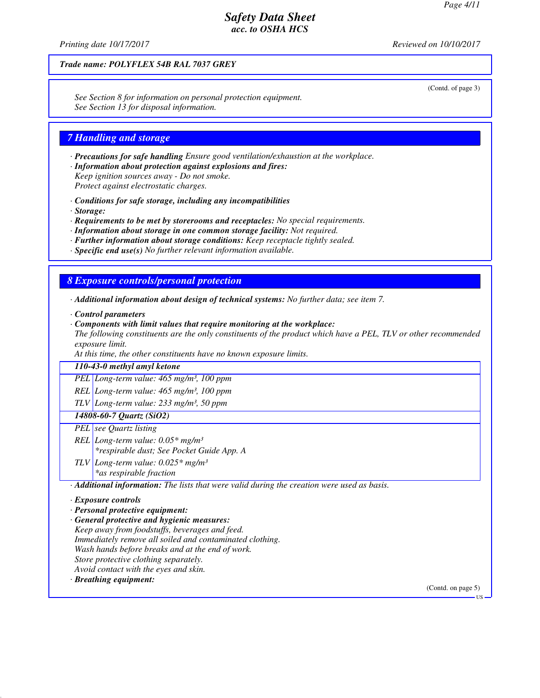(Contd. of page 3)

## *Safety Data Sheet acc. to OSHA HCS*

*Printing date 10/17/2017 Reviewed on 10/10/2017*

### *Trade name: POLYFLEX 54B RAL 7037 GREY*

*See Section 8 for information on personal protection equipment. See Section 13 for disposal information.*

#### *7 Handling and storage*

*· Precautions for safe handling Ensure good ventilation/exhaustion at the workplace.*

*· Information about protection against explosions and fires: Keep ignition sources away - Do not smoke.*

*Protect against electrostatic charges.*

*· Conditions for safe storage, including any incompatibilities*

*· Storage:*

*· Requirements to be met by storerooms and receptacles: No special requirements.*

- *· Information about storage in one common storage facility: Not required.*
- *· Further information about storage conditions: Keep receptacle tightly sealed.*
- *· Specific end use(s) No further relevant information available.*

### *8 Exposure controls/personal protection*

- *· Additional information about design of technical systems: No further data; see item 7.*
- *· Control parameters*
- *· Components with limit values that require monitoring at the workplace:*

*The following constituents are the only constituents of the product which have a PEL, TLV or other recommended exposure limit.*

*At this time, the other constituents have no known exposure limits.*

### *110-43-0 methyl amyl ketone*

*PEL Long-term value: 465 mg/m³, 100 ppm*

*REL Long-term value: 465 mg/m³, 100 ppm*

*TLV Long-term value: 233 mg/m³, 50 ppm*

#### *14808-60-7 Quartz (SiO2)*

*PEL see Quartz listing*

*REL Long-term value: 0.05\* mg/m³ \*respirable dust; See Pocket Guide App. A*

*TLV Long-term value: 0.025\* mg/m³*

*\*as respirable fraction*

*· Additional information: The lists that were valid during the creation were used as basis.*

#### *· Exposure controls*

*· Personal protective equipment:*

*· General protective and hygienic measures:*

*Keep away from foodstuffs, beverages and feed.*

*Immediately remove all soiled and contaminated clothing.*

*Wash hands before breaks and at the end of work.*

*Store protective clothing separately.*

*Avoid contact with the eyes and skin.*

*· Breathing equipment:*

(Contd. on page 5)

US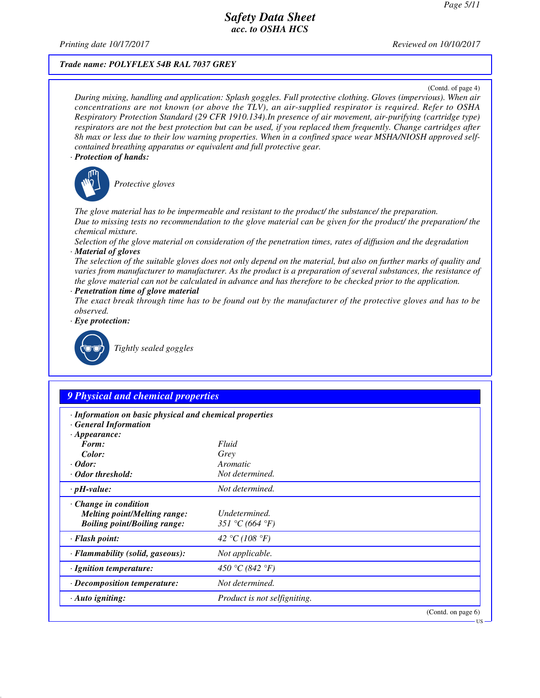*Printing date 10/17/2017 Reviewed on 10/10/2017*

### *Trade name: POLYFLEX 54B RAL 7037 GREY*

(Contd. of page 4)

*During mixing, handling and application: Splash goggles. Full protective clothing. Gloves (impervious). When air concentrations are not known (or above the TLV), an air-supplied respirator is required. Refer to OSHA Respiratory Protection Standard (29 CFR 1910.134).In presence of air movement, air-purifying (cartridge type) respirators are not the best protection but can be used, if you replaced them frequently. Change cartridges after 8h max or less due to their low warning properties. When in a confined space wear MSHA/NIOSH approved selfcontained breathing apparatus or equivalent and full protective gear.*

#### *· Protection of hands:*



\_S*Protective gloves*

*The glove material has to be impermeable and resistant to the product/ the substance/ the preparation. Due to missing tests no recommendation to the glove material can be given for the product/ the preparation/ the chemical mixture.*

*Selection of the glove material on consideration of the penetration times, rates of diffusion and the degradation · Material of gloves*

*The selection of the suitable gloves does not only depend on the material, but also on further marks of quality and varies from manufacturer to manufacturer. As the product is a preparation of several substances, the resistance of the glove material can not be calculated in advance and has therefore to be checked prior to the application.*

*· Penetration time of glove material*

*The exact break through time has to be found out by the manufacturer of the protective gloves and has to be observed.*

*· Eye protection:*



\_R*Tightly sealed goggles*

## *9 Physical and chemical properties*

| · Information on basic physical and chemical properties<br>· General Information |                              |                       |
|----------------------------------------------------------------------------------|------------------------------|-----------------------|
| $\cdot$ Appearance:                                                              |                              |                       |
| Form:                                                                            | Fluid                        |                       |
| Color:                                                                           | Grey                         |                       |
| $\cdot$ Odor:                                                                    | Aromatic                     |                       |
| · Odor threshold:                                                                | Not determined.              |                       |
| $\cdot$ pH-value:                                                                | Not determined.              |                       |
| $\cdot$ Change in condition                                                      |                              |                       |
| <i>Melting point/Melting range:</i>                                              | Undetermined.                |                       |
| <b>Boiling point/Boiling range:</b>                                              | 351 °C (664 °F)              |                       |
| · Flash point:                                                                   | 42 °C (108 °F)               |                       |
| · Flammability (solid, gaseous):                                                 | Not applicable.              |                       |
| · Ignition temperature:                                                          | 450 °C (842 °F)              |                       |
| · Decomposition temperature:                                                     | Not determined.              |                       |
| $\cdot$ Auto igniting:                                                           | Product is not selfigniting. |                       |
|                                                                                  |                              | (Contd. on page $6$ ) |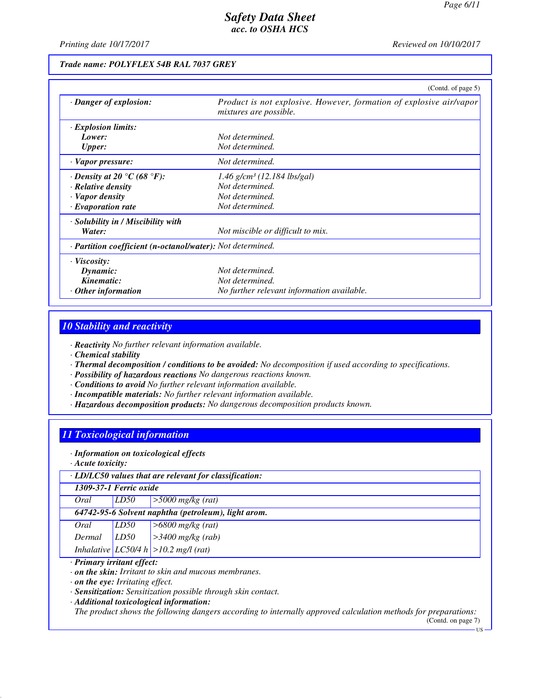*Printing date 10/17/2017 Reviewed on 10/10/2017*

### *Trade name: POLYFLEX 54B RAL 7037 GREY*

|                                                            | (Contd. of page 5)                                                                                   |
|------------------------------------------------------------|------------------------------------------------------------------------------------------------------|
| · Danger of explosion:                                     | Product is not explosive. However, formation of explosive air/vapor<br><i>mixtures are possible.</i> |
| $\cdot$ Explosion limits:                                  |                                                                                                      |
| Lower:                                                     | Not determined.                                                                                      |
| <b>Upper:</b>                                              | Not determined.                                                                                      |
| $\cdot$ Vapor pressure:                                    | Not determined.                                                                                      |
| $\cdot$ Density at 20 °C (68 °F):                          | $1.46$ g/cm <sup>3</sup> (12.184 lbs/gal)                                                            |
| · Relative density                                         | Not determined.                                                                                      |
| $\cdot$ Vapor density                                      | Not determined.                                                                                      |
| $\cdot$ Evaporation rate                                   | Not determined.                                                                                      |
| $\cdot$ Solubility in / Miscibility with                   |                                                                                                      |
| Water:                                                     | Not miscible or difficult to mix.                                                                    |
| · Partition coefficient (n-octanol/water): Not determined. |                                                                                                      |
| $\cdot$ Viscosity:                                         |                                                                                                      |
| Dynamic:                                                   | Not determined.                                                                                      |
| Kinematic:                                                 | Not determined.                                                                                      |
| $\cdot$ Other information                                  | No further relevant information available.                                                           |

## *10 Stability and reactivity*

*· Reactivity No further relevant information available.*

*· Chemical stability*

- *· Thermal decomposition / conditions to be avoided: No decomposition if used according to specifications.*
- *· Possibility of hazardous reactions No dangerous reactions known.*
- *· Conditions to avoid No further relevant information available.*
- *· Incompatible materials: No further relevant information available.*
- *· Hazardous decomposition products: No dangerous decomposition products known.*

# *11 Toxicological information*

*· Information on toxicological effects*

*· Acute toxicity:*

| $\cdot$ LD/LC50 values that are relevant for classification: |                                                     |                                           |  |
|--------------------------------------------------------------|-----------------------------------------------------|-------------------------------------------|--|
|                                                              | 1309-37-1 Ferric oxide                              |                                           |  |
| Oral                                                         | LD50                                                | $>$ 5000 mg/kg (rat)                      |  |
|                                                              | 64742-95-6 Solvent naphtha (petroleum), light arom. |                                           |  |
| Oral                                                         | LD50                                                | $>6800$ mg/kg (rat)                       |  |
|                                                              |                                                     | Dermal $LD50$ $>3400$ mg/kg (rab)         |  |
|                                                              |                                                     | Inhalative $ LCS0/4 h  > 10.2$ mg/l (rat) |  |
| · Primary irritant effect:                                   |                                                     |                                           |  |
| $\cdot$ on the skin: Irritant to skin and mucous membranes.  |                                                     |                                           |  |

*· on the eye: Irritating effect.*

*· Sensitization: Sensitization possible through skin contact.*

*· Additional toxicological information:*

*The product shows the following dangers according to internally approved calculation methods for preparations:*

(Contd. on page 7) US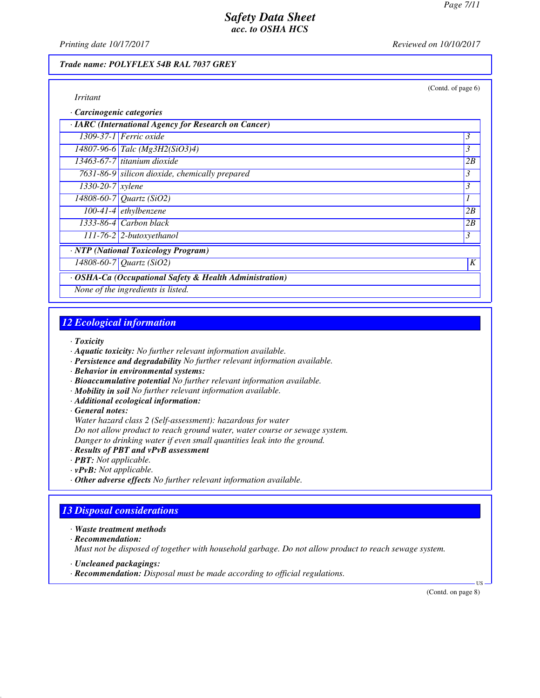(Contd. of page 6)

## *Safety Data Sheet acc. to OSHA HCS*

*Printing date 10/17/2017 Reviewed on 10/10/2017*

### *Trade name: POLYFLEX 54B RAL 7037 GREY*

| Carcinogenic categories                                 |                                                |    |  |  |
|---------------------------------------------------------|------------------------------------------------|----|--|--|
| · IARC (International Agency for Research on Cancer)    |                                                |    |  |  |
|                                                         | $1309-37-1$ Ferric oxide                       | 3  |  |  |
|                                                         | 14807-96-6 Talc (Mg3H2(SiO3)4)                 | 3  |  |  |
|                                                         | $13463-67-7$ titanium dioxide                  | 2B |  |  |
|                                                         | 7631-86-9 silicon dioxide, chemically prepared | 3  |  |  |
| $1330 - 20 - 7$ <i>xylene</i>                           |                                                | 3  |  |  |
|                                                         | 14808-60-7 Quartz (SiO2)                       |    |  |  |
|                                                         | $100-41-4$ ethylbenzene                        | 2B |  |  |
|                                                         | $1333-86-4$ Carbon black                       | 2B |  |  |
|                                                         | $\boxed{111-76-2}$ 2-butoxyethanol             | 3  |  |  |
| · NTP (National Toxicology Program)                     |                                                |    |  |  |
|                                                         | 14808-60-7 Quartz (SiO2)                       | K  |  |  |
| · OSHA-Ca (Occupational Safety & Health Administration) |                                                |    |  |  |
| None of the ingredients is listed.                      |                                                |    |  |  |

## *12 Ecological information*

*· Toxicity*

- *· Aquatic toxicity: No further relevant information available.*
- *· Persistence and degradability No further relevant information available.*
- *· Behavior in environmental systems:*
- *· Bioaccumulative potential No further relevant information available.*
- *· Mobility in soil No further relevant information available.*
- *· Additional ecological information:*

*· General notes:*

*Water hazard class 2 (Self-assessment): hazardous for water*

*Do not allow product to reach ground water, water course or sewage system.*

*Danger to drinking water if even small quantities leak into the ground.*

- *· Results of PBT and vPvB assessment*
- *· PBT: Not applicable.*
- *· vPvB: Not applicable.*
- *· Other adverse effects No further relevant information available.*

## *13 Disposal considerations*

*· Waste treatment methods*

*· Recommendation:*

*Must not be disposed of together with household garbage. Do not allow product to reach sewage system.*

- *· Uncleaned packagings:*
- *· Recommendation: Disposal must be made according to official regulations.*

(Contd. on page 8)

US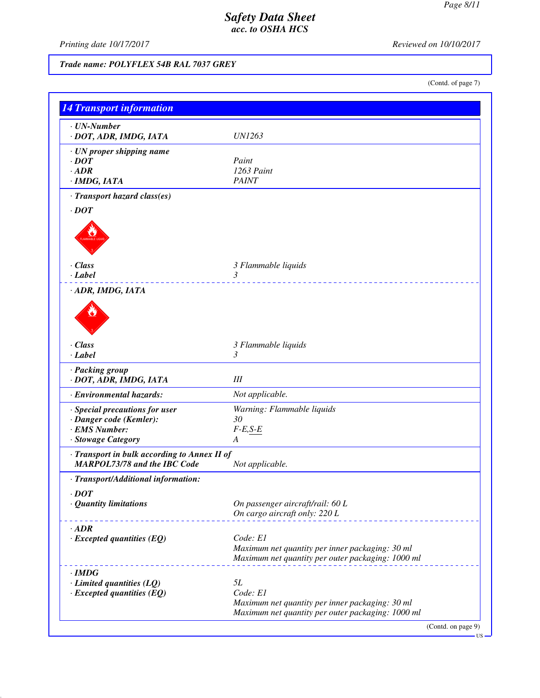*Printing date 10/17/2017 Reviewed on 10/10/2017*

# *Trade name: POLYFLEX 54B RAL 7037 GREY*

(Contd. of page 7)

| · UN-Number                                  |                                                                                                      |
|----------------------------------------------|------------------------------------------------------------------------------------------------------|
| · DOT, ADR, IMDG, IATA                       | <i>UN1263</i>                                                                                        |
| · UN proper shipping name                    |                                                                                                      |
| $\cdot$ DOT                                  | Paint                                                                                                |
| $\cdot$ ADR                                  | 1263 Paint                                                                                           |
| $\cdot$ IMDG, IATA                           | <b>PAINT</b>                                                                                         |
| · Transport hazard class(es)                 |                                                                                                      |
| $\cdot$ DOT                                  |                                                                                                      |
|                                              |                                                                                                      |
| · Class<br>$\cdot$ Label                     | 3 Flammable liquids<br>3                                                                             |
| · ADR, IMDG, IATA                            |                                                                                                      |
|                                              |                                                                                                      |
| $\cdot$ Class                                | 3 Flammable liquids                                                                                  |
| $\cdot$ Label                                | 3                                                                                                    |
| · Packing group<br>· DOT, ADR, IMDG, IATA    | $I\!I\!I$                                                                                            |
| · Environmental hazards:                     | Not applicable.                                                                                      |
| · Special precautions for user               | Warning: Flammable liquids                                                                           |
| · Danger code (Kemler):                      | 30                                                                                                   |
| · EMS Number:                                | $F-E,S-E$                                                                                            |
| · Stowage Category                           | A                                                                                                    |
| · Transport in bulk according to Annex II of |                                                                                                      |
| <b>MARPOL73/78 and the IBC Code</b>          | Not applicable.                                                                                      |
| · Transport/Additional information:          |                                                                                                      |
| $\cdot$ DOT                                  |                                                                                                      |
| · Quantity limitations                       | On passenger aircraft/rail: 60 L                                                                     |
|                                              | On cargo aircraft only: 220 L                                                                        |
| $\cdot$ ADR                                  |                                                                                                      |
| $\cdot$ Excepted quantities (EQ)             | Code: E1                                                                                             |
|                                              | Maximum net quantity per inner packaging: 30 ml<br>Maximum net quantity per outer packaging: 1000 ml |
| $\cdot$ IMDG                                 |                                                                                                      |
| $\cdot$ Limited quantities (LQ)              | 5L                                                                                                   |
| $\cdot$ Excepted quantities (EQ)             | Code: E1                                                                                             |
|                                              | Maximum net quantity per inner packaging: 30 ml                                                      |
|                                              | Maximum net quantity per outer packaging: 1000 ml                                                    |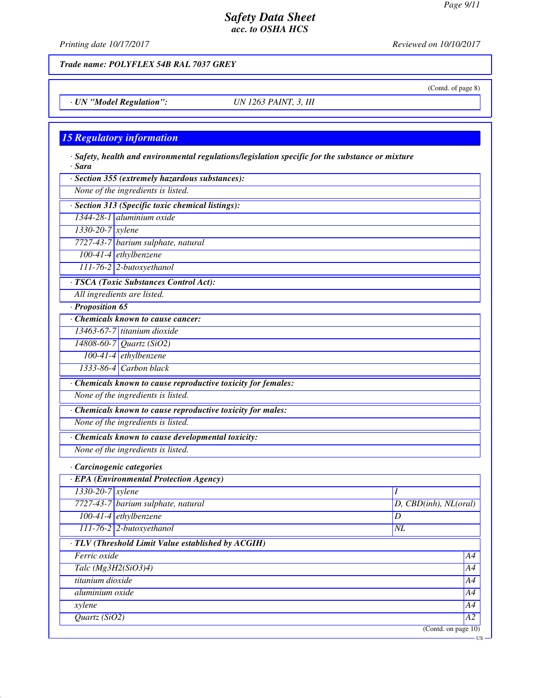(Contd. of page 8)

US

## *Safety Data Sheet acc. to OSHA HCS*

*Printing date 10/17/2017 Reviewed on 10/10/2017*

*Trade name: POLYFLEX 54B RAL 7037 GREY*

*· UN "Model Regulation": UN 1263 PAINT, 3, III*

### *15 Regulatory information*

*· Safety, health and environmental regulations/legislation specific for the substance or mixture · Sara*

*· Section 355 (extremely hazardous substances):*

*None of the ingredients is listed.*

*· Section 313 (Specific toxic chemical listings):*

*1344-28-1 aluminium oxide*

*1330-20-7 xylene*

*7727-43-7 barium sulphate, natural*

*100-41-4 ethylbenzene*

*111-76-2 2-butoxyethanol*

*· TSCA (Toxic Substances Control Act):*

*All ingredients are listed.*

*· Proposition 65*

*· Chemicals known to cause cancer: 13463-67-7 titanium dioxide*

*14808-60-7 Quartz (SiO2)*

*100-41-4 ethylbenzene 1333-86-4 Carbon black*

*· Chemicals known to cause reproductive toxicity for females:*

*None of the ingredients is listed.*

*· Chemicals known to cause reproductive toxicity for males:*

*None of the ingredients is listed.*

*· Chemicals known to cause developmental toxicity:*

*None of the ingredients is listed.*

*· Carcinogenic categories*

| · EPA (Environmental Protection Agency)            |                                    |                       |  |  |
|----------------------------------------------------|------------------------------------|-----------------------|--|--|
| $1330 - 20 - 7$ <i>xylene</i>                      |                                    |                       |  |  |
|                                                    | 7727-43-7 barium sulphate, natural | D, CBD(inh), NL(oral) |  |  |
|                                                    | $\boxed{100-41-4}$ ethylbenzene    | D                     |  |  |
|                                                    | 111-76-2 2-butoxyethanol           | NL                    |  |  |
| · TLV (Threshold Limit Value established by ACGIH) |                                    |                       |  |  |
| Ferric oxide                                       |                                    | A4                    |  |  |
| Talc $(Mg3H2(SiO3)4)$                              |                                    |                       |  |  |
| titanium dioxide                                   |                                    |                       |  |  |
| aluminium oxide                                    |                                    |                       |  |  |
| xylene                                             |                                    |                       |  |  |
| Quartz $(SiO2)$                                    |                                    |                       |  |  |
|                                                    |                                    | (Contd. on page 10)   |  |  |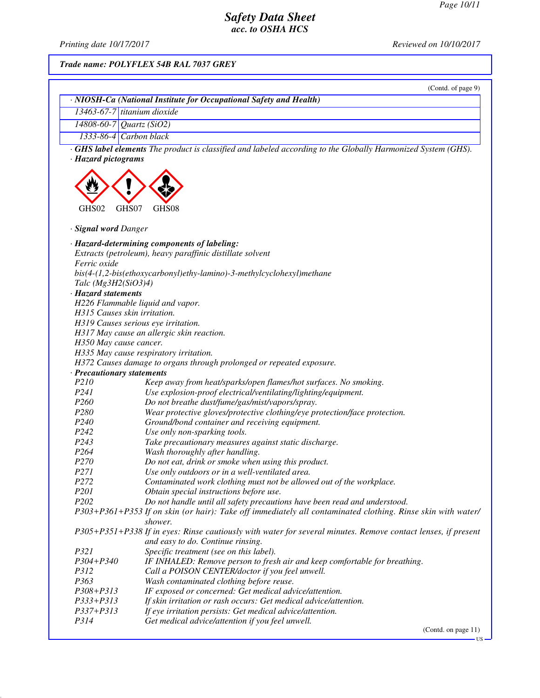*Printing date 10/17/2017 Reviewed on 10/10/2017*

*Trade name: POLYFLEX 54B RAL 7037 GREY*

| · NIOSH-Ca (National Institute for Occupational Safety and Health)<br>$13463-67-7$ titanium dioxide<br>14808-60-7 Quartz (SiO2)<br>$1333-86-4$ Carbon black<br>GHS label elements The product is classified and labeled according to the Globally Harmonized System (GHS).<br>· Hazard pictograms<br>GHS02<br>GHS07<br>GHS08<br>· Signal word Danger<br>· Hazard-determining components of labeling:<br>Extracts (petroleum), heavy paraffinic distillate solvent<br>Ferric oxide<br>bis(4-(1,2-bis(ethoxycarbonyl)ethy-lamino)-3-methylcyclohexyl)methane<br>Talc $(Mg3H2(SiO3)4)$<br>· Hazard statements<br>H226 Flammable liquid and vapor.<br>H315 Causes skin irritation.<br>H319 Causes serious eye irritation.<br>H317 May cause an allergic skin reaction.<br>H350 May cause cancer.<br>H335 May cause respiratory irritation.<br>H372 Causes damage to organs through prolonged or repeated exposure.<br>· Precautionary statements<br>P210<br>Keep away from heat/sparks/open flames/hot surfaces. No smoking.<br>P241<br>Use explosion-proof electrical/ventilating/lighting/equipment.<br>P <sub>260</sub><br>Do not breathe dust/fume/gas/mist/vapors/spray.<br>P280<br>Wear protective gloves/protective clothing/eye protection/face protection.<br>P <sub>240</sub><br>Ground/bond container and receiving equipment.<br>P242<br>Use only non-sparking tools.<br>P <sub>243</sub><br>Take precautionary measures against static discharge.<br>P264<br>Wash thoroughly after handling.<br>P <sub>270</sub><br>Do not eat, drink or smoke when using this product.<br>P271<br>Use only outdoors or in a well-ventilated area.<br>P272<br>Contaminated work clothing must not be allowed out of the workplace.<br>P201<br>Obtain special instructions before use.<br>P202<br>Do not handle until all safety precautions have been read and understood.<br>P303+P361+P353 If on skin (or hair): Take off immediately all contaminated clothing. Rinse skin with water/<br>shower.<br>P305+P351+P338 If in eyes: Rinse cautiously with water for several minutes. Remove contact lenses, if present<br>and easy to do. Continue rinsing.<br>P321<br>Specific treatment (see on this label).<br>P304+P340<br>IF INHALED: Remove person to fresh air and keep comfortable for breathing.<br>P312<br>Call a POISON CENTER/doctor if you feel unwell.<br>P363<br>Wash contaminated clothing before reuse.<br>IF exposed or concerned: Get medical advice/attention.<br>P308+P313<br>P333+P313<br>If skin irritation or rash occurs: Get medical advice/attention.<br>P337+P313<br>If eye irritation persists: Get medical advice/attention.<br>P314 | (Contd. of page 9)                               |
|------------------------------------------------------------------------------------------------------------------------------------------------------------------------------------------------------------------------------------------------------------------------------------------------------------------------------------------------------------------------------------------------------------------------------------------------------------------------------------------------------------------------------------------------------------------------------------------------------------------------------------------------------------------------------------------------------------------------------------------------------------------------------------------------------------------------------------------------------------------------------------------------------------------------------------------------------------------------------------------------------------------------------------------------------------------------------------------------------------------------------------------------------------------------------------------------------------------------------------------------------------------------------------------------------------------------------------------------------------------------------------------------------------------------------------------------------------------------------------------------------------------------------------------------------------------------------------------------------------------------------------------------------------------------------------------------------------------------------------------------------------------------------------------------------------------------------------------------------------------------------------------------------------------------------------------------------------------------------------------------------------------------------------------------------------------------------------------------------------------------------------------------------------------------------------------------------------------------------------------------------------------------------------------------------------------------------------------------------------------------------------------------------------------------------------------------------------------------------------------------------------------------------------------------------------------------------------------------------------------------------------------------------------|--------------------------------------------------|
|                                                                                                                                                                                                                                                                                                                                                                                                                                                                                                                                                                                                                                                                                                                                                                                                                                                                                                                                                                                                                                                                                                                                                                                                                                                                                                                                                                                                                                                                                                                                                                                                                                                                                                                                                                                                                                                                                                                                                                                                                                                                                                                                                                                                                                                                                                                                                                                                                                                                                                                                                                                                                                                            |                                                  |
|                                                                                                                                                                                                                                                                                                                                                                                                                                                                                                                                                                                                                                                                                                                                                                                                                                                                                                                                                                                                                                                                                                                                                                                                                                                                                                                                                                                                                                                                                                                                                                                                                                                                                                                                                                                                                                                                                                                                                                                                                                                                                                                                                                                                                                                                                                                                                                                                                                                                                                                                                                                                                                                            |                                                  |
|                                                                                                                                                                                                                                                                                                                                                                                                                                                                                                                                                                                                                                                                                                                                                                                                                                                                                                                                                                                                                                                                                                                                                                                                                                                                                                                                                                                                                                                                                                                                                                                                                                                                                                                                                                                                                                                                                                                                                                                                                                                                                                                                                                                                                                                                                                                                                                                                                                                                                                                                                                                                                                                            |                                                  |
|                                                                                                                                                                                                                                                                                                                                                                                                                                                                                                                                                                                                                                                                                                                                                                                                                                                                                                                                                                                                                                                                                                                                                                                                                                                                                                                                                                                                                                                                                                                                                                                                                                                                                                                                                                                                                                                                                                                                                                                                                                                                                                                                                                                                                                                                                                                                                                                                                                                                                                                                                                                                                                                            |                                                  |
|                                                                                                                                                                                                                                                                                                                                                                                                                                                                                                                                                                                                                                                                                                                                                                                                                                                                                                                                                                                                                                                                                                                                                                                                                                                                                                                                                                                                                                                                                                                                                                                                                                                                                                                                                                                                                                                                                                                                                                                                                                                                                                                                                                                                                                                                                                                                                                                                                                                                                                                                                                                                                                                            |                                                  |
|                                                                                                                                                                                                                                                                                                                                                                                                                                                                                                                                                                                                                                                                                                                                                                                                                                                                                                                                                                                                                                                                                                                                                                                                                                                                                                                                                                                                                                                                                                                                                                                                                                                                                                                                                                                                                                                                                                                                                                                                                                                                                                                                                                                                                                                                                                                                                                                                                                                                                                                                                                                                                                                            |                                                  |
|                                                                                                                                                                                                                                                                                                                                                                                                                                                                                                                                                                                                                                                                                                                                                                                                                                                                                                                                                                                                                                                                                                                                                                                                                                                                                                                                                                                                                                                                                                                                                                                                                                                                                                                                                                                                                                                                                                                                                                                                                                                                                                                                                                                                                                                                                                                                                                                                                                                                                                                                                                                                                                                            |                                                  |
|                                                                                                                                                                                                                                                                                                                                                                                                                                                                                                                                                                                                                                                                                                                                                                                                                                                                                                                                                                                                                                                                                                                                                                                                                                                                                                                                                                                                                                                                                                                                                                                                                                                                                                                                                                                                                                                                                                                                                                                                                                                                                                                                                                                                                                                                                                                                                                                                                                                                                                                                                                                                                                                            |                                                  |
|                                                                                                                                                                                                                                                                                                                                                                                                                                                                                                                                                                                                                                                                                                                                                                                                                                                                                                                                                                                                                                                                                                                                                                                                                                                                                                                                                                                                                                                                                                                                                                                                                                                                                                                                                                                                                                                                                                                                                                                                                                                                                                                                                                                                                                                                                                                                                                                                                                                                                                                                                                                                                                                            |                                                  |
|                                                                                                                                                                                                                                                                                                                                                                                                                                                                                                                                                                                                                                                                                                                                                                                                                                                                                                                                                                                                                                                                                                                                                                                                                                                                                                                                                                                                                                                                                                                                                                                                                                                                                                                                                                                                                                                                                                                                                                                                                                                                                                                                                                                                                                                                                                                                                                                                                                                                                                                                                                                                                                                            |                                                  |
|                                                                                                                                                                                                                                                                                                                                                                                                                                                                                                                                                                                                                                                                                                                                                                                                                                                                                                                                                                                                                                                                                                                                                                                                                                                                                                                                                                                                                                                                                                                                                                                                                                                                                                                                                                                                                                                                                                                                                                                                                                                                                                                                                                                                                                                                                                                                                                                                                                                                                                                                                                                                                                                            |                                                  |
|                                                                                                                                                                                                                                                                                                                                                                                                                                                                                                                                                                                                                                                                                                                                                                                                                                                                                                                                                                                                                                                                                                                                                                                                                                                                                                                                                                                                                                                                                                                                                                                                                                                                                                                                                                                                                                                                                                                                                                                                                                                                                                                                                                                                                                                                                                                                                                                                                                                                                                                                                                                                                                                            |                                                  |
|                                                                                                                                                                                                                                                                                                                                                                                                                                                                                                                                                                                                                                                                                                                                                                                                                                                                                                                                                                                                                                                                                                                                                                                                                                                                                                                                                                                                                                                                                                                                                                                                                                                                                                                                                                                                                                                                                                                                                                                                                                                                                                                                                                                                                                                                                                                                                                                                                                                                                                                                                                                                                                                            |                                                  |
|                                                                                                                                                                                                                                                                                                                                                                                                                                                                                                                                                                                                                                                                                                                                                                                                                                                                                                                                                                                                                                                                                                                                                                                                                                                                                                                                                                                                                                                                                                                                                                                                                                                                                                                                                                                                                                                                                                                                                                                                                                                                                                                                                                                                                                                                                                                                                                                                                                                                                                                                                                                                                                                            |                                                  |
|                                                                                                                                                                                                                                                                                                                                                                                                                                                                                                                                                                                                                                                                                                                                                                                                                                                                                                                                                                                                                                                                                                                                                                                                                                                                                                                                                                                                                                                                                                                                                                                                                                                                                                                                                                                                                                                                                                                                                                                                                                                                                                                                                                                                                                                                                                                                                                                                                                                                                                                                                                                                                                                            |                                                  |
|                                                                                                                                                                                                                                                                                                                                                                                                                                                                                                                                                                                                                                                                                                                                                                                                                                                                                                                                                                                                                                                                                                                                                                                                                                                                                                                                                                                                                                                                                                                                                                                                                                                                                                                                                                                                                                                                                                                                                                                                                                                                                                                                                                                                                                                                                                                                                                                                                                                                                                                                                                                                                                                            |                                                  |
|                                                                                                                                                                                                                                                                                                                                                                                                                                                                                                                                                                                                                                                                                                                                                                                                                                                                                                                                                                                                                                                                                                                                                                                                                                                                                                                                                                                                                                                                                                                                                                                                                                                                                                                                                                                                                                                                                                                                                                                                                                                                                                                                                                                                                                                                                                                                                                                                                                                                                                                                                                                                                                                            |                                                  |
|                                                                                                                                                                                                                                                                                                                                                                                                                                                                                                                                                                                                                                                                                                                                                                                                                                                                                                                                                                                                                                                                                                                                                                                                                                                                                                                                                                                                                                                                                                                                                                                                                                                                                                                                                                                                                                                                                                                                                                                                                                                                                                                                                                                                                                                                                                                                                                                                                                                                                                                                                                                                                                                            |                                                  |
|                                                                                                                                                                                                                                                                                                                                                                                                                                                                                                                                                                                                                                                                                                                                                                                                                                                                                                                                                                                                                                                                                                                                                                                                                                                                                                                                                                                                                                                                                                                                                                                                                                                                                                                                                                                                                                                                                                                                                                                                                                                                                                                                                                                                                                                                                                                                                                                                                                                                                                                                                                                                                                                            |                                                  |
|                                                                                                                                                                                                                                                                                                                                                                                                                                                                                                                                                                                                                                                                                                                                                                                                                                                                                                                                                                                                                                                                                                                                                                                                                                                                                                                                                                                                                                                                                                                                                                                                                                                                                                                                                                                                                                                                                                                                                                                                                                                                                                                                                                                                                                                                                                                                                                                                                                                                                                                                                                                                                                                            |                                                  |
|                                                                                                                                                                                                                                                                                                                                                                                                                                                                                                                                                                                                                                                                                                                                                                                                                                                                                                                                                                                                                                                                                                                                                                                                                                                                                                                                                                                                                                                                                                                                                                                                                                                                                                                                                                                                                                                                                                                                                                                                                                                                                                                                                                                                                                                                                                                                                                                                                                                                                                                                                                                                                                                            |                                                  |
|                                                                                                                                                                                                                                                                                                                                                                                                                                                                                                                                                                                                                                                                                                                                                                                                                                                                                                                                                                                                                                                                                                                                                                                                                                                                                                                                                                                                                                                                                                                                                                                                                                                                                                                                                                                                                                                                                                                                                                                                                                                                                                                                                                                                                                                                                                                                                                                                                                                                                                                                                                                                                                                            |                                                  |
|                                                                                                                                                                                                                                                                                                                                                                                                                                                                                                                                                                                                                                                                                                                                                                                                                                                                                                                                                                                                                                                                                                                                                                                                                                                                                                                                                                                                                                                                                                                                                                                                                                                                                                                                                                                                                                                                                                                                                                                                                                                                                                                                                                                                                                                                                                                                                                                                                                                                                                                                                                                                                                                            |                                                  |
|                                                                                                                                                                                                                                                                                                                                                                                                                                                                                                                                                                                                                                                                                                                                                                                                                                                                                                                                                                                                                                                                                                                                                                                                                                                                                                                                                                                                                                                                                                                                                                                                                                                                                                                                                                                                                                                                                                                                                                                                                                                                                                                                                                                                                                                                                                                                                                                                                                                                                                                                                                                                                                                            |                                                  |
|                                                                                                                                                                                                                                                                                                                                                                                                                                                                                                                                                                                                                                                                                                                                                                                                                                                                                                                                                                                                                                                                                                                                                                                                                                                                                                                                                                                                                                                                                                                                                                                                                                                                                                                                                                                                                                                                                                                                                                                                                                                                                                                                                                                                                                                                                                                                                                                                                                                                                                                                                                                                                                                            |                                                  |
|                                                                                                                                                                                                                                                                                                                                                                                                                                                                                                                                                                                                                                                                                                                                                                                                                                                                                                                                                                                                                                                                                                                                                                                                                                                                                                                                                                                                                                                                                                                                                                                                                                                                                                                                                                                                                                                                                                                                                                                                                                                                                                                                                                                                                                                                                                                                                                                                                                                                                                                                                                                                                                                            |                                                  |
|                                                                                                                                                                                                                                                                                                                                                                                                                                                                                                                                                                                                                                                                                                                                                                                                                                                                                                                                                                                                                                                                                                                                                                                                                                                                                                                                                                                                                                                                                                                                                                                                                                                                                                                                                                                                                                                                                                                                                                                                                                                                                                                                                                                                                                                                                                                                                                                                                                                                                                                                                                                                                                                            |                                                  |
|                                                                                                                                                                                                                                                                                                                                                                                                                                                                                                                                                                                                                                                                                                                                                                                                                                                                                                                                                                                                                                                                                                                                                                                                                                                                                                                                                                                                                                                                                                                                                                                                                                                                                                                                                                                                                                                                                                                                                                                                                                                                                                                                                                                                                                                                                                                                                                                                                                                                                                                                                                                                                                                            |                                                  |
|                                                                                                                                                                                                                                                                                                                                                                                                                                                                                                                                                                                                                                                                                                                                                                                                                                                                                                                                                                                                                                                                                                                                                                                                                                                                                                                                                                                                                                                                                                                                                                                                                                                                                                                                                                                                                                                                                                                                                                                                                                                                                                                                                                                                                                                                                                                                                                                                                                                                                                                                                                                                                                                            |                                                  |
|                                                                                                                                                                                                                                                                                                                                                                                                                                                                                                                                                                                                                                                                                                                                                                                                                                                                                                                                                                                                                                                                                                                                                                                                                                                                                                                                                                                                                                                                                                                                                                                                                                                                                                                                                                                                                                                                                                                                                                                                                                                                                                                                                                                                                                                                                                                                                                                                                                                                                                                                                                                                                                                            |                                                  |
|                                                                                                                                                                                                                                                                                                                                                                                                                                                                                                                                                                                                                                                                                                                                                                                                                                                                                                                                                                                                                                                                                                                                                                                                                                                                                                                                                                                                                                                                                                                                                                                                                                                                                                                                                                                                                                                                                                                                                                                                                                                                                                                                                                                                                                                                                                                                                                                                                                                                                                                                                                                                                                                            |                                                  |
|                                                                                                                                                                                                                                                                                                                                                                                                                                                                                                                                                                                                                                                                                                                                                                                                                                                                                                                                                                                                                                                                                                                                                                                                                                                                                                                                                                                                                                                                                                                                                                                                                                                                                                                                                                                                                                                                                                                                                                                                                                                                                                                                                                                                                                                                                                                                                                                                                                                                                                                                                                                                                                                            |                                                  |
|                                                                                                                                                                                                                                                                                                                                                                                                                                                                                                                                                                                                                                                                                                                                                                                                                                                                                                                                                                                                                                                                                                                                                                                                                                                                                                                                                                                                                                                                                                                                                                                                                                                                                                                                                                                                                                                                                                                                                                                                                                                                                                                                                                                                                                                                                                                                                                                                                                                                                                                                                                                                                                                            |                                                  |
|                                                                                                                                                                                                                                                                                                                                                                                                                                                                                                                                                                                                                                                                                                                                                                                                                                                                                                                                                                                                                                                                                                                                                                                                                                                                                                                                                                                                                                                                                                                                                                                                                                                                                                                                                                                                                                                                                                                                                                                                                                                                                                                                                                                                                                                                                                                                                                                                                                                                                                                                                                                                                                                            |                                                  |
|                                                                                                                                                                                                                                                                                                                                                                                                                                                                                                                                                                                                                                                                                                                                                                                                                                                                                                                                                                                                                                                                                                                                                                                                                                                                                                                                                                                                                                                                                                                                                                                                                                                                                                                                                                                                                                                                                                                                                                                                                                                                                                                                                                                                                                                                                                                                                                                                                                                                                                                                                                                                                                                            |                                                  |
|                                                                                                                                                                                                                                                                                                                                                                                                                                                                                                                                                                                                                                                                                                                                                                                                                                                                                                                                                                                                                                                                                                                                                                                                                                                                                                                                                                                                                                                                                                                                                                                                                                                                                                                                                                                                                                                                                                                                                                                                                                                                                                                                                                                                                                                                                                                                                                                                                                                                                                                                                                                                                                                            |                                                  |
|                                                                                                                                                                                                                                                                                                                                                                                                                                                                                                                                                                                                                                                                                                                                                                                                                                                                                                                                                                                                                                                                                                                                                                                                                                                                                                                                                                                                                                                                                                                                                                                                                                                                                                                                                                                                                                                                                                                                                                                                                                                                                                                                                                                                                                                                                                                                                                                                                                                                                                                                                                                                                                                            |                                                  |
|                                                                                                                                                                                                                                                                                                                                                                                                                                                                                                                                                                                                                                                                                                                                                                                                                                                                                                                                                                                                                                                                                                                                                                                                                                                                                                                                                                                                                                                                                                                                                                                                                                                                                                                                                                                                                                                                                                                                                                                                                                                                                                                                                                                                                                                                                                                                                                                                                                                                                                                                                                                                                                                            |                                                  |
|                                                                                                                                                                                                                                                                                                                                                                                                                                                                                                                                                                                                                                                                                                                                                                                                                                                                                                                                                                                                                                                                                                                                                                                                                                                                                                                                                                                                                                                                                                                                                                                                                                                                                                                                                                                                                                                                                                                                                                                                                                                                                                                                                                                                                                                                                                                                                                                                                                                                                                                                                                                                                                                            |                                                  |
|                                                                                                                                                                                                                                                                                                                                                                                                                                                                                                                                                                                                                                                                                                                                                                                                                                                                                                                                                                                                                                                                                                                                                                                                                                                                                                                                                                                                                                                                                                                                                                                                                                                                                                                                                                                                                                                                                                                                                                                                                                                                                                                                                                                                                                                                                                                                                                                                                                                                                                                                                                                                                                                            |                                                  |
|                                                                                                                                                                                                                                                                                                                                                                                                                                                                                                                                                                                                                                                                                                                                                                                                                                                                                                                                                                                                                                                                                                                                                                                                                                                                                                                                                                                                                                                                                                                                                                                                                                                                                                                                                                                                                                                                                                                                                                                                                                                                                                                                                                                                                                                                                                                                                                                                                                                                                                                                                                                                                                                            |                                                  |
|                                                                                                                                                                                                                                                                                                                                                                                                                                                                                                                                                                                                                                                                                                                                                                                                                                                                                                                                                                                                                                                                                                                                                                                                                                                                                                                                                                                                                                                                                                                                                                                                                                                                                                                                                                                                                                                                                                                                                                                                                                                                                                                                                                                                                                                                                                                                                                                                                                                                                                                                                                                                                                                            |                                                  |
|                                                                                                                                                                                                                                                                                                                                                                                                                                                                                                                                                                                                                                                                                                                                                                                                                                                                                                                                                                                                                                                                                                                                                                                                                                                                                                                                                                                                                                                                                                                                                                                                                                                                                                                                                                                                                                                                                                                                                                                                                                                                                                                                                                                                                                                                                                                                                                                                                                                                                                                                                                                                                                                            |                                                  |
|                                                                                                                                                                                                                                                                                                                                                                                                                                                                                                                                                                                                                                                                                                                                                                                                                                                                                                                                                                                                                                                                                                                                                                                                                                                                                                                                                                                                                                                                                                                                                                                                                                                                                                                                                                                                                                                                                                                                                                                                                                                                                                                                                                                                                                                                                                                                                                                                                                                                                                                                                                                                                                                            | Get medical advice/attention if you feel unwell. |

(Contd. on page 11)

 $-$  US –